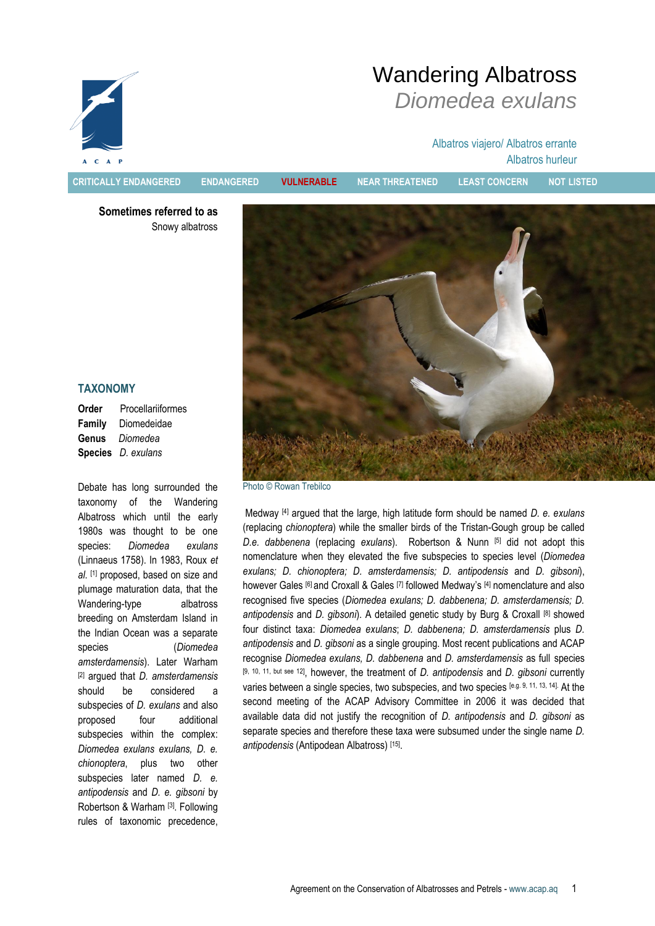

Wandering Albatross *Diomedea exulans*

> Albatros viajero/ Albatros errante Albatros hurleur

**CRITICALLY ENDANGERED ENDANGERED VULNERABLE NEAR THREATENED LEAST CONCERN NOT LISTED**

**Sometimes referred to as** Snowy albatross



### **TAXONOMY**

**Order** Procellariiformes **Family** Diomedeidae **Genus** *Diomedea* **Species** *D. exulans*

Debate has long surrounded the taxonomy of the Wandering Albatross which until the early 1980s was thought to be one species: *Diomedea exulans* (Linnaeus 1758). In 1983, Roux *et al*. [1] proposed, based on size and plumage maturation data, that the Wandering-type albatross breeding on Amsterdam Island in the Indian Ocean was a separate species (*Diomedea amsterdamensis*). Later Warham [2] argued that *D. amsterdamensis* should be considered a subspecies of *D. exulans* and also proposed four additional subspecies within the complex: *Diomedea exulans exulans, D. e. chionoptera*, plus two other subspecies later named *D. e. antipodensis* and *D. e. gibsoni* by Robertson & Warham [3]. Following rules of taxonomic precedence,

Photo © Rowan Trebilco

Medway [4] argued that the large, high latitude form should be named *D. e. exulans* (replacing *chionoptera*) while the smaller birds of the Tristan-Gough group be called *D.e. dabbenena* (replacing *exulans*). Robertson & Nunn [5] did not adopt this nomenclature when they elevated the five subspecies to species level (*Diomedea exulans; D. chionoptera; D. amsterdamensis; D. antipodensis* and *D. gibsoni*), however Gales [6] and Croxall & Gales [7] followed Medway's [4] nomenclature and also recognised five species (*Diomedea exulans; D. dabbenena; D. amsterdamensis; D. antipodensis* and *D. gibsoni*). A detailed genetic study by Burg & Croxall [8] showed four distinct taxa: *Diomedea exulans*; *D. dabbenena; D. amsterdamensis* plus *D. antipodensis* and *D. gibsoni* as a single grouping. Most recent publications and ACAP recognise *Diomedea exulans, D. dabbenena* and *D. amsterdamensis* as full species [9, 10, 11, but see 12], however, the treatment of *D. antipodensis* and *D. gibsoni* currently varies between a single species, two subspecies, and two species [e.g. 9, 11, 13, 14]. At the second meeting of the ACAP Advisory Committee in 2006 it was decided that available data did not justify the recognition of *D. antipodensis* and *D. gibsoni* as separate species and therefore these taxa were subsumed under the single name *D. antipodensis* (Antipodean Albatross) [15] .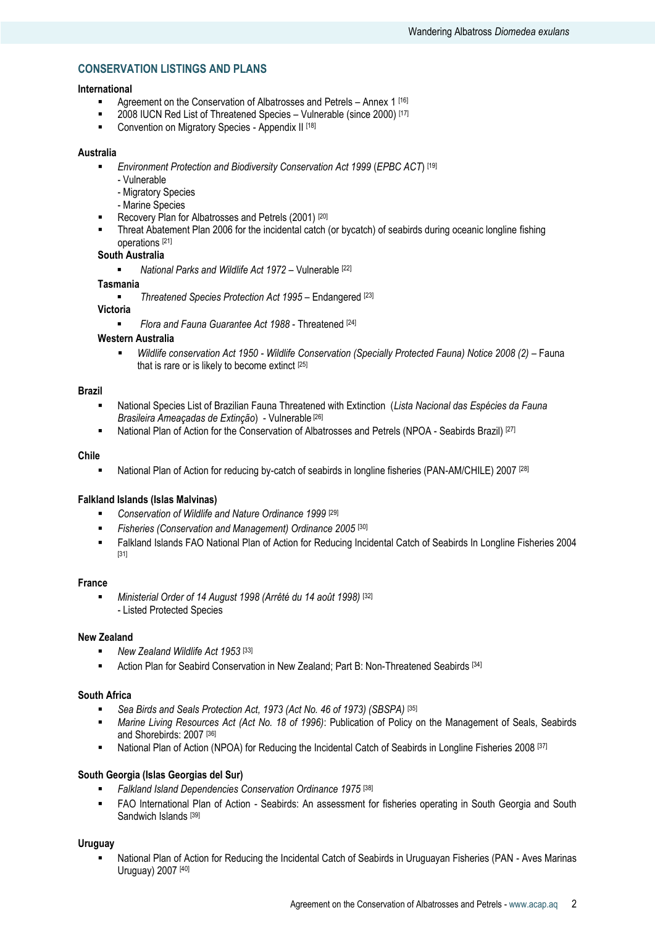# **CONSERVATION LISTINGS AND PLANS**

### **International**

- **Agreement on the Conservation of Albatrosses and Petrels Annex 1 [16]**
- 2008 IUCN Red List of Threatened Species Vulnerable (since 2000) [17]<br>■ Convention on Migratory Species Appendix II [18]
- Convention on Migratory Species Appendix II [18]

#### **Australia**

- *Environment Protection and Biodiversity Conservation Act 1999* (*EPBC ACT*) [19]
	- Vulnerable
	- Migratory Species
	- Marine Species
- Recovery Plan for Albatrosses and Petrels (2001)<sup>[20]</sup>
- Threat Abatement Plan 2006 for the incidental catch (or bycatch) of seabirds during oceanic longline fishing operations [21]

# **South Australia**

*National Parks and Wildlife Act 1972* – Vulnerable [22]

#### **Tasmania**

*Threatened Species Protection Act 1995* – Endangered [23]

# **Victoria**

*Flora and Fauna Guarantee Act 1988* - Threatened [24]

# **Western Australia**

**•** Wildlife conservation Act 1950 - Wildlife Conservation (Specially Protected Fauna) Notice 2008 (2) - Fauna that is rare or is likely to become extinct [25]

#### **Brazil**

- National Species List of Brazilian Fauna Threatened with Extinction (*Lista Nacional das Espécies da Fauna Brasileira Ameaçadas de Extinção*) - Vulnerable [26]
- **National Plan of Action for the Conservation of Albatrosses and Petrels (NPOA Seabirds Brazil)** [27]

#### **Chile**

National Plan of Action for reducing by-catch of seabirds in longline fisheries (PAN-AM/CHILE) 2007 [28]

### **Falkland Islands (Islas Malvinas)**

- *Conservation of Wildlife and Nature Ordinance 1999* [29]
- *Fisheries (Conservation and Management) Ordinance 2005* [30]
- Falkland Islands FAO National Plan of Action for Reducing Incidental Catch of Seabirds In Longline Fisheries 2004 [31]

#### **France**

 *Ministerial Order of 14 August 1998 (Arrêté du 14 août 1998)* [32] - Listed Protected Species

#### **New Zealand**

- *New Zealand Wildlife Act 1953* [33]
- Action Plan for Seabird Conservation in New Zealand; Part B: Non-Threatened Seabirds [34]

#### **South Africa**

- *Sea Birds and Seals Protection Act, 1973 (Act No. 46 of 1973) (SBSPA)* [35]
- *Marine Living Resources Act (Act No. 18 of 1996)*: Publication of Policy on the Management of Seals, Seabirds and Shorebirds: 2007 [36]
- National Plan of Action (NPOA) for Reducing the Incidental Catch of Seabirds in Longline Fisheries 2008 [37]

# **South Georgia (Islas Georgias del Sur)**

- *Falkland Island Dependencies Conservation Ordinance 1975* [38]
- FAO International Plan of Action Seabirds: An assessment for fisheries operating in South Georgia and South Sandwich Islands [39]

#### **Uruguay**

 National Plan of Action for Reducing the Incidental Catch of Seabirds in Uruguayan Fisheries (PAN - Aves Marinas Uruguay) 2007 [40]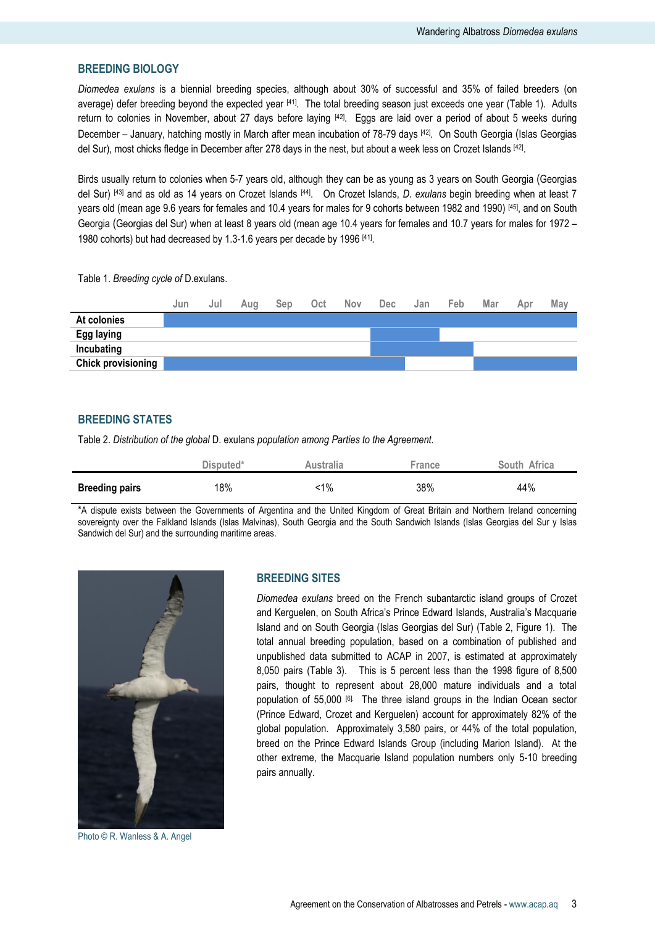# **BREEDING BIOLOGY**

*Diomedea exulans* is a biennial breeding species, although about 30% of successful and 35% of failed breeders (on average) defer breeding beyond the expected year <sup>[41]</sup>. The total breeding season just exceeds one year (Table 1). Adults return to colonies in November, about 27 days before laying [42]. Eggs are laid over a period of about 5 weeks during December – January, hatching mostly in March after mean incubation of 78-79 days [42]. On South Georgia (Islas Georgias del Sur), most chicks fledge in December after 278 days in the nest, but about a week less on Crozet Islands <sup>[42]</sup>.

Birds usually return to colonies when 5-7 years old, although they can be as young as 3 years on South Georgia (Georgias del Sur) [43] and as old as 14 years on Crozet Islands [44] . On Crozet Islands, *D. exulans* begin breeding when at least 7 years old (mean age 9.6 years for females and 10.4 years for males for 9 cohorts between 1982 and 1990) [45] , and on South Georgia (Georgias del Sur) when at least 8 years old (mean age 10.4 years for females and 10.7 years for males for 1972 – 1980 cohorts) but had decreased by 1.3-1.6 years per decade by 1996 [41].

Table 1. *Breeding cycle of* D.exulans.

|                           | Jun | Jul | Aua | Sep | Oct | <b>Nov</b> | Dec | Jan | Feb | Mar | Apr | May |
|---------------------------|-----|-----|-----|-----|-----|------------|-----|-----|-----|-----|-----|-----|
| At colonies               |     |     |     |     |     |            |     |     |     |     |     |     |
| <b>Egg laying</b>         |     |     |     |     |     |            |     |     |     |     |     |     |
| Incubating                |     |     |     |     |     |            |     |     |     |     |     |     |
| <b>Chick provisioning</b> |     |     |     |     |     |            |     |     |     |     |     |     |

# **BREEDING STATES**

Table 2. *Distribution of the global* D. exulans *population among Parties to the Agreement.*

|                       | Disputed* | Australia | France | South Africa |
|-----------------------|-----------|-----------|--------|--------------|
| <b>Breeding pairs</b> | 18%       | :1%       | 38%    | 44%          |

\*A dispute exists between the Governments of Argentina and the United Kingdom of Great Britain and Northern Ireland concerning sovereignty over the Falkland Islands (Islas Malvinas), South Georgia and the South Sandwich Islands (Islas Georgias del Sur y Islas Sandwich del Sur) and the surrounding maritime areas.



Photo © R. Wanless & A. Angel

### **BREEDING SITES**

*Diomedea exulans* breed on the French subantarctic island groups of Crozet and Kerguelen, on South Africa"s Prince Edward Islands, Australia"s Macquarie Island and on South Georgia (Islas Georgias del Sur) (Table 2, Figure 1). The total annual breeding population, based on a combination of published and unpublished data submitted to ACAP in 2007, is estimated at approximately 8,050 pairs (Table 3). This is 5 percent less than the 1998 figure of 8,500 pairs, thought to represent about 28,000 mature individuals and a total population of 55,000 [6]. The three island groups in the Indian Ocean sector (Prince Edward, Crozet and Kerguelen) account for approximately 82% of the global population. Approximately 3,580 pairs, or 44% of the total population, breed on the Prince Edward Islands Group (including Marion Island). At the other extreme, the Macquarie Island population numbers only 5-10 breeding pairs annually.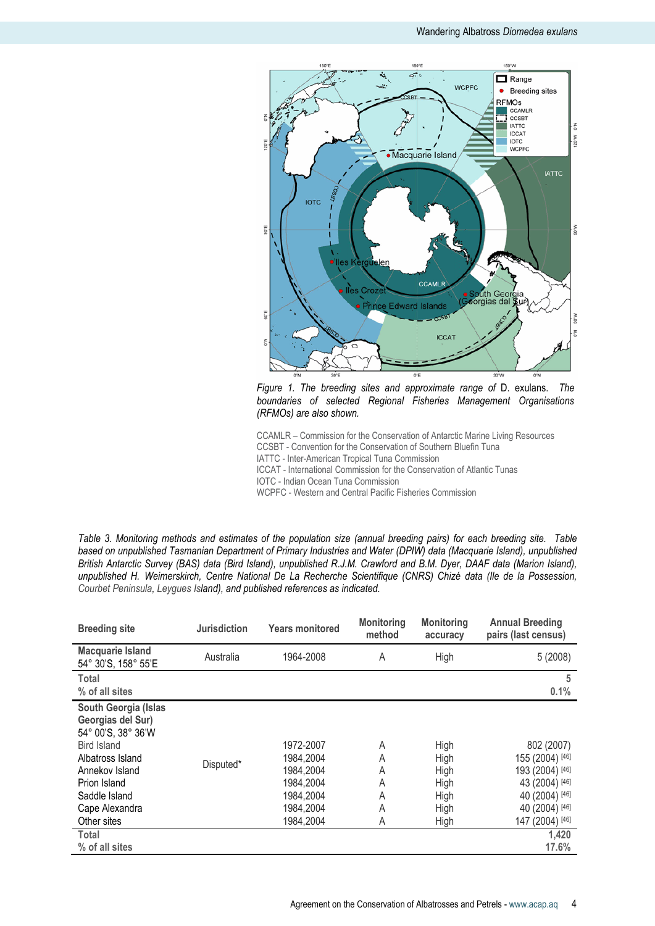

*Figure 1. The breeding sites and approximate range of* D. exulans. *The boundaries of selected Regional Fisheries Management Organisations (RFMOs) are also shown.* 

CCAMLR – Commission for the Conservation of Antarctic Marine Living Resources CCSBT - Convention for the Conservation of Southern Bluefin Tuna IATTC - Inter-American Tropical Tuna Commission ICCAT - International Commission for the Conservation of Atlantic Tunas IOTC - Indian Ocean Tuna Commission WCPFC - Western and Central Pacific Fisheries Commission

*Table 3. Monitoring methods and estimates of the population size (annual breeding pairs) for each breeding site. Table based on unpublished Tasmanian Department of Primary Industries and Water (DPIW) data (Macquarie Island), unpublished British Antarctic Survey (BAS) data (Bird Island), unpublished R.J.M. Crawford and B.M. Dyer, DAAF data (Marion Island), unpublished H. Weimerskirch, Centre National De La Recherche Scientifique (CNRS) Chizé data (Ile de la Possession, Courbet Peninsula, Leygues Island), and published references as indicated.*

| <b>Breeding site</b>                                                                                                                                                                   | <b>Jurisdiction</b> | <b>Years monitored</b>                                                                  | <b>Monitoring</b><br>method     | <b>Monitoring</b><br>accuracy                        | <b>Annual Breeding</b><br>pairs (last census)                                                                             |
|----------------------------------------------------------------------------------------------------------------------------------------------------------------------------------------|---------------------|-----------------------------------------------------------------------------------------|---------------------------------|------------------------------------------------------|---------------------------------------------------------------------------------------------------------------------------|
| <b>Macquarie Island</b><br>54° 30'S, 158° 55'E                                                                                                                                         | Australia           | 1964-2008                                                                               | A                               | High                                                 | 5(2008)                                                                                                                   |
| Total<br>% of all sites                                                                                                                                                                |                     |                                                                                         |                                 |                                                      | 5<br>0.1%                                                                                                                 |
| South Georgia (Islas<br>Georgias del Sur)<br>54° 00'S, 38° 36'W<br>Bird Island<br>Albatross Island<br>Annekov Island<br>Prion Island<br>Saddle Island<br>Cape Alexandra<br>Other sites | Disputed*           | 1972-2007<br>1984,2004<br>1984.2004<br>1984,2004<br>1984,2004<br>1984,2004<br>1984,2004 | A<br>A<br>A<br>A<br>A<br>A<br>A | High<br>High<br>High<br>High<br>High<br>High<br>High | 802 (2007)<br>155 (2004) [46]<br>193 (2004) [46]<br>43 (2004) [46]<br>40 (2004) [46]<br>40 (2004) [46]<br>147 (2004) [46] |
| Total<br>% of all sites                                                                                                                                                                |                     |                                                                                         |                                 |                                                      | 1,420<br>17.6%                                                                                                            |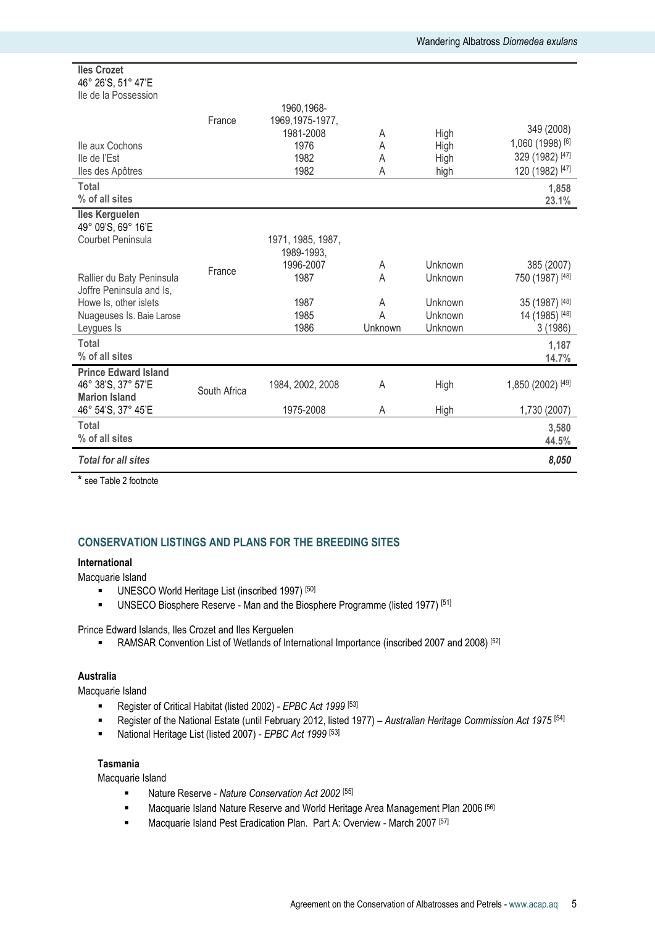#### **Iles Crozet**  46° 26"S, 51° 47"E Ile de la Possession

| <u>IIC UC IA FUJOCOJIUII</u><br>lle aux Cochons<br>lle de l'Est<br>lles des Apôtres | France       | 1960, 1968-<br>1969, 1975-1977,<br>1981-2008<br>1976<br>1982<br>1982 | A<br>A<br>A<br>А  | High<br>High<br>High<br>high  | 349 (2008)<br>1,060 (1998) [6]<br>329 (1982) [47]<br>120 (1982) [47] |
|-------------------------------------------------------------------------------------|--------------|----------------------------------------------------------------------|-------------------|-------------------------------|----------------------------------------------------------------------|
| <b>Total</b><br>% of all sites                                                      |              |                                                                      |                   |                               | 1,858<br>23.1%                                                       |
| <b>Iles Kerguelen</b><br>49° 09'S, 69° 16'E<br>Courbet Peninsula                    |              | 1971, 1985, 1987,<br>1989-1993,<br>1996-2007                         | A                 | Unknown                       | 385 (2007)                                                           |
| Rallier du Baty Peninsula<br>Joffre Peninsula and Is,                               | France       | 1987                                                                 | A                 | Unknown                       | 750 (1987) [48]                                                      |
| Howe Is, other islets<br>Nuageuses Is. Baie Larose<br>Leygues Is                    |              | 1987<br>1985<br>1986                                                 | A<br>A<br>Unknown | Unknown<br>Unknown<br>Unknown | 35 (1987) [48]<br>14 (1985) [48]<br>3(1986)                          |
| <b>Total</b><br>% of all sites                                                      |              |                                                                      |                   |                               | 1,187<br>14.7%                                                       |
| <b>Prince Edward Island</b><br>46° 38'S, 37° 57'E<br><b>Marion Island</b>           | South Africa | 1984, 2002, 2008                                                     | A                 | High                          | 1,850 (2002) [49]                                                    |
| 46° 54'S, 37° 45'E                                                                  |              | 1975-2008                                                            | A                 | High                          | 1,730 (2007)                                                         |
| <b>Total</b><br>% of all sites                                                      |              |                                                                      |                   |                               | 3,580<br>44.5%                                                       |
| <b>Total for all sites</b>                                                          |              |                                                                      |                   |                               | 8,050                                                                |

**\*** see Table 2 footnote

# **CONSERVATION LISTINGS AND PLANS FOR THE BREEDING SITES**

# **International**

Macquarie Island

- UNESCO World Heritage List (inscribed 1997)<sup>[50]</sup>
- UNSECO Biosphere Reserve Man and the Biosphere Programme (listed 1977)<sup>[51]</sup>

Prince Edward Islands, Iles Crozet and Iles Kerguelen

• RAMSAR Convention List of Wetlands of International Importance (inscribed 2007 and 2008) [52]

### **Australia**

Macquarie Island

- Register of Critical Habitat (listed 2002) *EPBC Act 1999* [53]
- Register of the National Estate (until February 2012, listed 1977) *Australian Heritage Commission Act 1975* [54]
- National Heritage List (listed 2007) *EPBC Act 1999* [53]

# **Tasmania**

Macquarie Island

- **Nature Reserve Nature Conservation Act 2002** [55]
- **Macquarie Island Nature Reserve and World Heritage Area Management Plan 2006** [56]
- **Macquarie Island Pest Eradication Plan. Part A: Overview March 2007 [57]**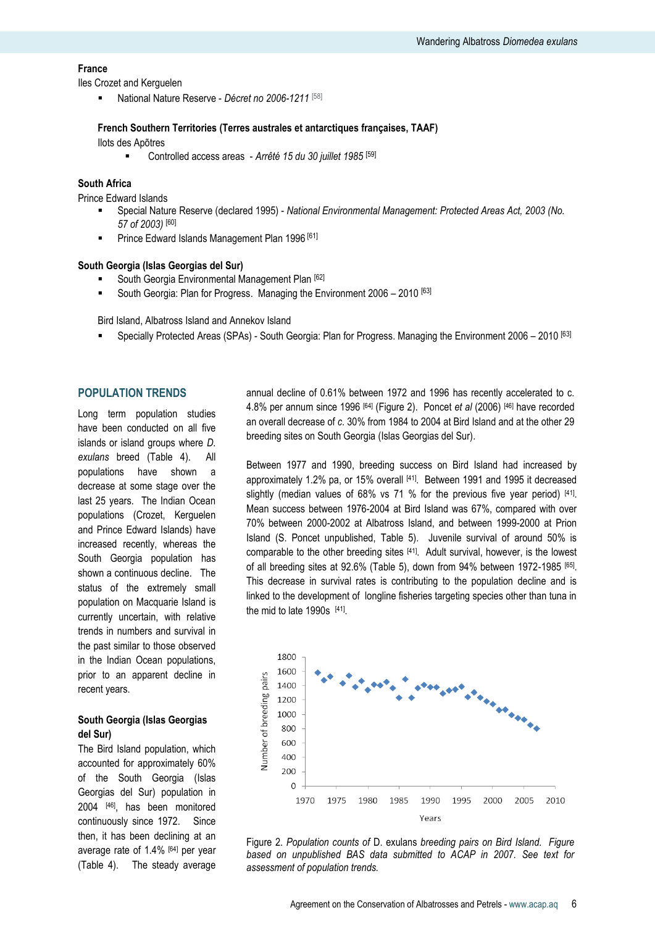## **France**

Iles Crozet and Kerguelen

National Nature Reserve - *Décret no 2006-1211* [58]

# **French Southern Territories (Terres australes et antarctiques françaises, TAAF)**

Ilots des Apõtres

Controlled access areas - *Arrêté 15 du 30 juillet 1985* [59]

### **South Africa**

Prince Edward Islands

- Special Nature Reserve (declared 1995) *National Environmental Management: Protected Areas Act, 2003 (No. 57 of 2003)* [60]
- **Prince Edward Islands Management Plan 1996** [61]

#### **South Georgia (Islas Georgias del Sur)**

- South Georgia Environmental Management Plan [62]
- South Georgia: Plan for Progress. Managing the Environment 2006 2010 [63]

Bird Island, Albatross Island and Annekov Island

Specially Protected Areas (SPAs) - South Georgia: Plan for Progress. Managing the Environment 2006 – 2010 [63]

# **POPULATION TRENDS**

Long term population studies have been conducted on all five islands or island groups where *D. exulans* breed (Table 4). All populations have shown a decrease at some stage over the last 25 years. The Indian Ocean populations (Crozet, Kerguelen and Prince Edward Islands) have increased recently, whereas the South Georgia population has shown a continuous decline. The status of the extremely small population on Macquarie Island is currently uncertain, with relative trends in numbers and survival in the past similar to those observed in the Indian Ocean populations, prior to an apparent decline in recent years.

# **South Georgia (Islas Georgias del Sur)**

The Bird Island population, which accounted for approximately 60% of the South Georgia (Islas Georgias del Sur) population in 2004 [46], has been monitored continuously since 1972. Since then, it has been declining at an average rate of 1.4% [64] per year (Table 4). The steady average annual decline of 0.61% between 1972 and 1996 has recently accelerated to c. 4.8% per annum since 1996 [64] (Figure 2). Poncet *et al* (2006) [46] have recorded an overall decrease of *c*. 30% from 1984 to 2004 at Bird Island and at the other 29 breeding sites on South Georgia (Islas Georgias del Sur).

Between 1977 and 1990, breeding success on Bird Island had increased by approximately 1.2% pa, or 15% overall [41]. Between 1991 and 1995 it decreased slightly (median values of 68% vs 71 % for the previous five year period) [41]. Mean success between 1976-2004 at Bird Island was 67%, compared with over 70% between 2000-2002 at Albatross Island, and between 1999-2000 at Prion Island (S. Poncet unpublished, Table 5). Juvenile survival of around 50% is comparable to the other breeding sites [41]. Adult survival, however, is the lowest of all breeding sites at 92.6% (Table 5), down from 94% between 1972-1985 [65]. This decrease in survival rates is contributing to the population decline and is linked to the development of longline fisheries targeting species other than tuna in the mid to late 1990s  $[41]$ .



Figure 2. *Population counts of* D. exulans *breeding pairs on Bird Island. Figure based on unpublished BAS data submitted to ACAP in 2007. See text for assessment of population trends.*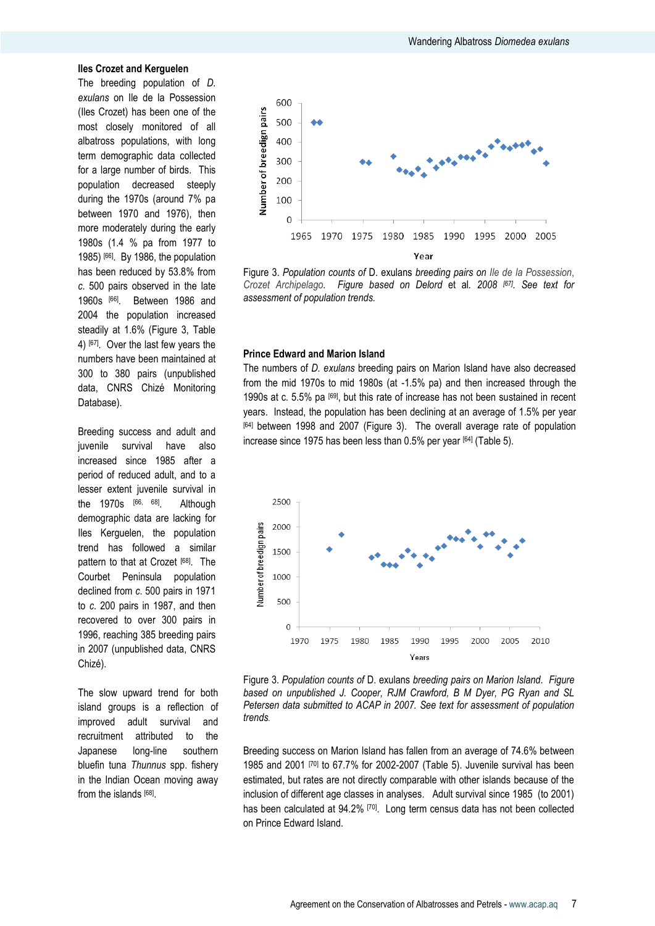#### **Iles Crozet and Kerguelen**

The breeding population of *D. exulans* on Ile de la Possession (Iles Crozet) has been one of the most closely monitored of all albatross populations, with long term demographic data collected for a large number of birds. This population decreased steeply during the 1970s (around 7% pa between 1970 and 1976), then more moderately during the early 1980s (1.4 % pa from 1977 to 1985) [66]. By 1986, the population has been reduced by 53.8% from *c*. 500 pairs observed in the late 1960s [66] . Between 1986 and 2004 the population increased steadily at 1.6% (Figure 3, Table 4) [67]. Over the last few years the numbers have been maintained at 300 to 380 pairs (unpublished data, CNRS Chizé Monitoring Database).

Breeding success and adult and juvenile survival have also increased since 1985 after a period of reduced adult, and to a lesser extent juvenile survival in the 1970s [66, 68] . Although demographic data are lacking for Iles Kerguelen, the population trend has followed a similar pattern to that at Crozet [68]. The Courbet Peninsula population declined from *c*. 500 pairs in 1971 to *c*. 200 pairs in 1987, and then recovered to over 300 pairs in 1996, reaching 385 breeding pairs in 2007 (unpublished data, CNRS Chizé).

The slow upward trend for both island groups is a reflection of improved adult survival and recruitment attributed to the Japanese long-line southern bluefin tuna *Thunnus* spp. fishery in the Indian Ocean moving away from the islands [68].



Figure 3. *Population counts of* D. exulans *breeding pairs on Ile de la Possession*, *Crozet Archipelago. Figure based on Delord* et al*. 2008 [67] . See text for assessment of population trends.* 

#### **Prince Edward and Marion Island**

The numbers of *D. exulans* breeding pairs on Marion Island have also decreased from the mid 1970s to mid 1980s (at -1.5% pa) and then increased through the 1990s at c. 5.5% pa [69], but this rate of increase has not been sustained in recent years. Instead, the population has been declining at an average of 1.5% per year [64] between 1998 and 2007 (Figure 3). The overall average rate of population increase since 1975 has been less than  $0.5\%$  per year  $[64]$  (Table 5).



Figure 3. *Population counts of* D. exulans *breeding pairs on Marion Island. Figure based on unpublished J. Cooper, RJM Crawford, B M Dyer, PG Ryan and SL Petersen data submitted to ACAP in 2007. See text for assessment of population trends.*

Breeding success on Marion Island has fallen from an average of 74.6% between 1985 and 2001 [70] to 67.7% for 2002-2007 (Table 5). Juvenile survival has been estimated, but rates are not directly comparable with other islands because of the inclusion of different age classes in analyses. Adult survival since 1985 (to 2001) has been calculated at 94.2% <sup>[70]</sup>. Long term census data has not been collected on Prince Edward Island.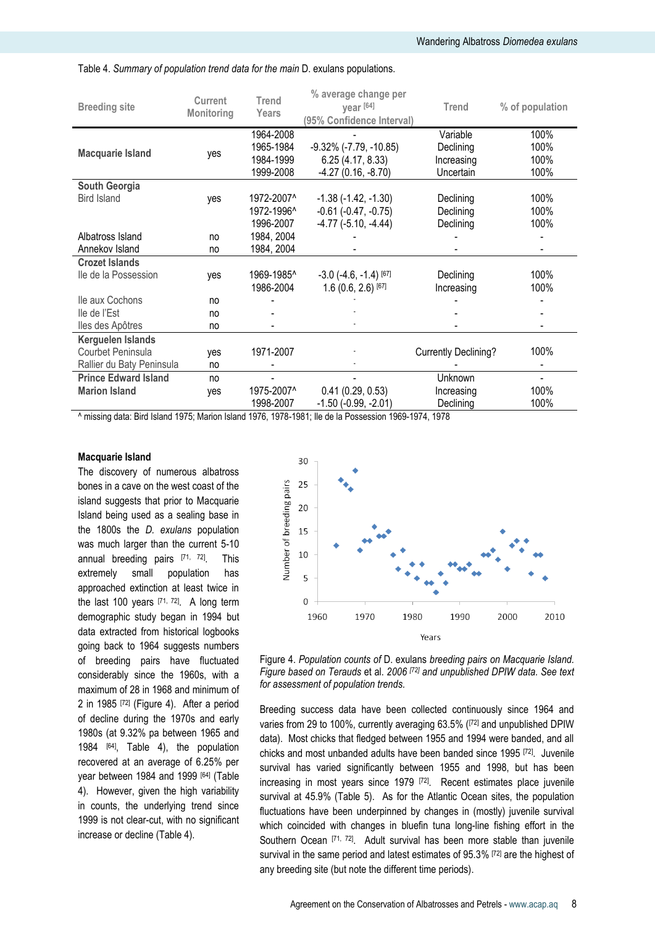| 100%<br>1964-2008<br>Variable<br>1965-1984<br>$-9.32\%$ ( $-7.79$ , $-10.85$ )<br>100%<br>Declining<br><b>Macquarie Island</b><br>yes<br>1984-1999<br>6.25(4.17, 8.33)<br>100%<br>Increasing<br>$-4.27(0.16, -8.70)$<br>1999-2008<br>100%<br>Uncertain<br>South Georgia<br>100%<br>1972-2007^<br><b>Bird Island</b><br>$-1.38$ $(-1.42, -1.30)$<br>Declining<br>yes<br>1972-1996^<br>$-0.61$ $(-0.47, -0.75)$<br>100%<br>Declining<br>1996-2007<br>$-4.77$ $(-5.10, -4.44)$<br>100%<br>Declining<br>1984, 2004<br>Albatross Island<br>no<br>1984, 2004<br>Annekov Island<br>no<br><b>Crozet Islands</b><br>1969-1985^<br>100%<br>$-3.0$ $(-4.6, -1.4)$ [67]<br>lle de la Possession<br>Declining<br>yes<br>1986-2004<br>$1.6(0.6, 2.6)$ <sup>[67]</sup><br>100%<br>Increasing<br>Ile aux Cochons<br>no<br>lle de l'Est<br>no<br>lles des Apôtres<br>no<br>Kerguelen Islands<br>100%<br>1971-2007<br><b>Currently Declining?</b><br>Courbet Peninsula<br>yes<br>Rallier du Baty Peninsula<br>no<br><b>Prince Edward Island</b><br>Unknown<br>no<br>1975-2007^<br>0.41(0.29, 0.53)<br>100%<br><b>Marion Island</b><br>Increasing<br>yes<br>1998-2007<br>$-1.50$ ( $-0.99$ , $-2.01$ )<br>100%<br>Declining | <b>Breeding site</b> | <b>Current</b><br>Monitoring | <b>Trend</b><br>Years | % average change per<br>year [64]<br>(95% Confidence Interval) | <b>Trend</b> | % of population |
|----------------------------------------------------------------------------------------------------------------------------------------------------------------------------------------------------------------------------------------------------------------------------------------------------------------------------------------------------------------------------------------------------------------------------------------------------------------------------------------------------------------------------------------------------------------------------------------------------------------------------------------------------------------------------------------------------------------------------------------------------------------------------------------------------------------------------------------------------------------------------------------------------------------------------------------------------------------------------------------------------------------------------------------------------------------------------------------------------------------------------------------------------------------------------------------------------------|----------------------|------------------------------|-----------------------|----------------------------------------------------------------|--------------|-----------------|
|                                                                                                                                                                                                                                                                                                                                                                                                                                                                                                                                                                                                                                                                                                                                                                                                                                                                                                                                                                                                                                                                                                                                                                                                          |                      |                              |                       |                                                                |              |                 |
|                                                                                                                                                                                                                                                                                                                                                                                                                                                                                                                                                                                                                                                                                                                                                                                                                                                                                                                                                                                                                                                                                                                                                                                                          |                      |                              |                       |                                                                |              |                 |
|                                                                                                                                                                                                                                                                                                                                                                                                                                                                                                                                                                                                                                                                                                                                                                                                                                                                                                                                                                                                                                                                                                                                                                                                          |                      |                              |                       |                                                                |              |                 |
|                                                                                                                                                                                                                                                                                                                                                                                                                                                                                                                                                                                                                                                                                                                                                                                                                                                                                                                                                                                                                                                                                                                                                                                                          |                      |                              |                       |                                                                |              |                 |
|                                                                                                                                                                                                                                                                                                                                                                                                                                                                                                                                                                                                                                                                                                                                                                                                                                                                                                                                                                                                                                                                                                                                                                                                          |                      |                              |                       |                                                                |              |                 |
|                                                                                                                                                                                                                                                                                                                                                                                                                                                                                                                                                                                                                                                                                                                                                                                                                                                                                                                                                                                                                                                                                                                                                                                                          |                      |                              |                       |                                                                |              |                 |
|                                                                                                                                                                                                                                                                                                                                                                                                                                                                                                                                                                                                                                                                                                                                                                                                                                                                                                                                                                                                                                                                                                                                                                                                          |                      |                              |                       |                                                                |              |                 |
|                                                                                                                                                                                                                                                                                                                                                                                                                                                                                                                                                                                                                                                                                                                                                                                                                                                                                                                                                                                                                                                                                                                                                                                                          |                      |                              |                       |                                                                |              |                 |
|                                                                                                                                                                                                                                                                                                                                                                                                                                                                                                                                                                                                                                                                                                                                                                                                                                                                                                                                                                                                                                                                                                                                                                                                          |                      |                              |                       |                                                                |              |                 |
|                                                                                                                                                                                                                                                                                                                                                                                                                                                                                                                                                                                                                                                                                                                                                                                                                                                                                                                                                                                                                                                                                                                                                                                                          |                      |                              |                       |                                                                |              |                 |
|                                                                                                                                                                                                                                                                                                                                                                                                                                                                                                                                                                                                                                                                                                                                                                                                                                                                                                                                                                                                                                                                                                                                                                                                          |                      |                              |                       |                                                                |              |                 |
|                                                                                                                                                                                                                                                                                                                                                                                                                                                                                                                                                                                                                                                                                                                                                                                                                                                                                                                                                                                                                                                                                                                                                                                                          |                      |                              |                       |                                                                |              |                 |
|                                                                                                                                                                                                                                                                                                                                                                                                                                                                                                                                                                                                                                                                                                                                                                                                                                                                                                                                                                                                                                                                                                                                                                                                          |                      |                              |                       |                                                                |              |                 |
|                                                                                                                                                                                                                                                                                                                                                                                                                                                                                                                                                                                                                                                                                                                                                                                                                                                                                                                                                                                                                                                                                                                                                                                                          |                      |                              |                       |                                                                |              |                 |
|                                                                                                                                                                                                                                                                                                                                                                                                                                                                                                                                                                                                                                                                                                                                                                                                                                                                                                                                                                                                                                                                                                                                                                                                          |                      |                              |                       |                                                                |              |                 |
|                                                                                                                                                                                                                                                                                                                                                                                                                                                                                                                                                                                                                                                                                                                                                                                                                                                                                                                                                                                                                                                                                                                                                                                                          |                      |                              |                       |                                                                |              |                 |
|                                                                                                                                                                                                                                                                                                                                                                                                                                                                                                                                                                                                                                                                                                                                                                                                                                                                                                                                                                                                                                                                                                                                                                                                          |                      |                              |                       |                                                                |              |                 |
|                                                                                                                                                                                                                                                                                                                                                                                                                                                                                                                                                                                                                                                                                                                                                                                                                                                                                                                                                                                                                                                                                                                                                                                                          |                      |                              |                       |                                                                |              |                 |
|                                                                                                                                                                                                                                                                                                                                                                                                                                                                                                                                                                                                                                                                                                                                                                                                                                                                                                                                                                                                                                                                                                                                                                                                          |                      |                              |                       |                                                                |              |                 |
|                                                                                                                                                                                                                                                                                                                                                                                                                                                                                                                                                                                                                                                                                                                                                                                                                                                                                                                                                                                                                                                                                                                                                                                                          |                      |                              |                       |                                                                |              |                 |
|                                                                                                                                                                                                                                                                                                                                                                                                                                                                                                                                                                                                                                                                                                                                                                                                                                                                                                                                                                                                                                                                                                                                                                                                          |                      |                              |                       |                                                                |              |                 |
|                                                                                                                                                                                                                                                                                                                                                                                                                                                                                                                                                                                                                                                                                                                                                                                                                                                                                                                                                                                                                                                                                                                                                                                                          |                      |                              |                       |                                                                |              |                 |

Table 4. *Summary of population trend data for the main* D. exulans populations.

^ missing data: Bird Island 1975; Marion Island 1976, 1978-1981; Ile de la Possession 1969-1974, 1978

#### **Macquarie Island**

The discovery of numerous albatross bones in a cave on the west coast of the island suggests that prior to Macquarie Island being used as a sealing base in the 1800s the *D. exulans* population was much larger than the current 5-10 annual breeding pairs [71, 72]. . This extremely small population has approached extinction at least twice in the last 100 years [71, 72] . A long term demographic study began in 1994 but data extracted from historical logbooks going back to 1964 suggests numbers of breeding pairs have fluctuated considerably since the 1960s, with a maximum of 28 in 1968 and minimum of 2 in 1985 [72] (Figure 4). After a period of decline during the 1970s and early 1980s (at 9.32% pa between 1965 and 1984 [64], Table 4), the population recovered at an average of 6.25% per year between 1984 and 1999 [64] (Table 4). However, given the high variability in counts, the underlying trend since 1999 is not clear-cut, with no significant increase or decline (Table 4).





Breeding success data have been collected continuously since 1964 and varies from 29 to 100%, currently averaging 63.5% (<sup>[72]</sup> and unpublished DPIW data). Most chicks that fledged between 1955 and 1994 were banded, and all chicks and most unbanded adults have been banded since 1995 [72]. Juvenile survival has varied significantly between 1955 and 1998, but has been increasing in most years since 1979 [72]. Recent estimates place juvenile survival at 45.9% (Table 5). As for the Atlantic Ocean sites, the population fluctuations have been underpinned by changes in (mostly) juvenile survival which coincided with changes in bluefin tuna long-line fishing effort in the Southern Ocean [71, 72]. Adult survival has been more stable than juvenile survival in the same period and latest estimates of 95.3% [72] are the highest of any breeding site (but note the different time periods).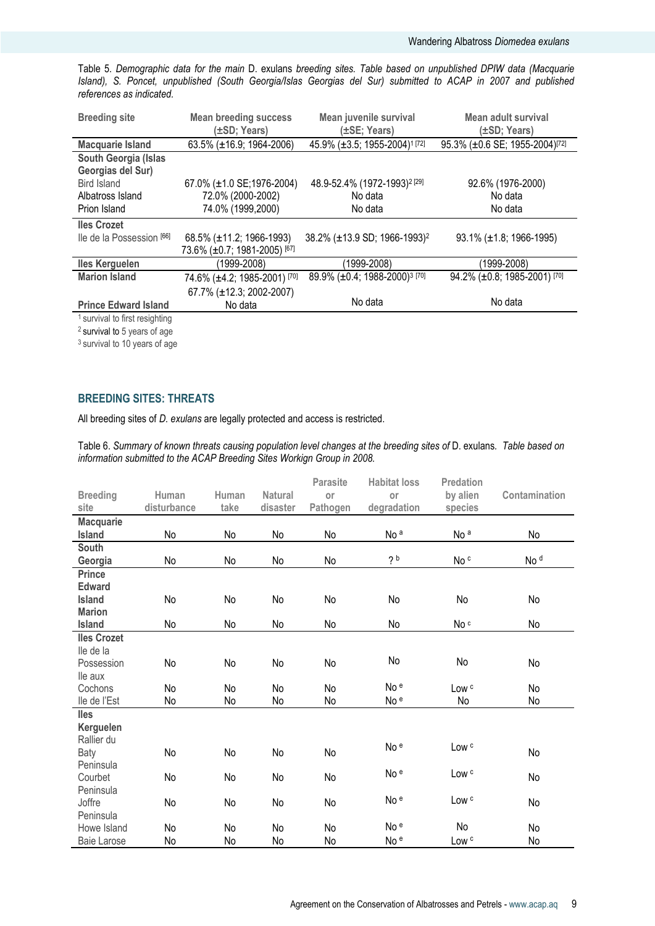Table 5. *Demographic data for the main* D. exulans *breeding sites. Table based on unpublished DPIW data (Macquarie Island), S. Poncet, unpublished (South Georgia/Islas Georgias del Sur) submitted to ACAP in 2007 and published references as indicated.*

| <b>Breeding site</b>                      | <b>Mean breeding success</b><br>(±SD; Years) | Mean juvenile survival<br>$(\pm SE; Years)$         | Mean adult survival<br>$(\pm SD; \text{Years})$ |
|-------------------------------------------|----------------------------------------------|-----------------------------------------------------|-------------------------------------------------|
| <b>Macquarie Island</b>                   | $63.5\%$ ( $\pm$ 16.9; 1964-2006)            | 45.9% (±3.5; 1955-2004) <sup>1[72]</sup>            | 95.3% (±0.6 SE; 1955-2004) <sup>[72]</sup>      |
| South Georgia (Islas                      |                                              |                                                     |                                                 |
| Georgias del Sur)                         |                                              |                                                     |                                                 |
| Bird Island                               | 67.0% (±1.0 SE;1976-2004)                    | 48.9-52.4% (1972-1993) <sup>2</sup> <sup>[29]</sup> | 92.6% (1976-2000)                               |
| Albatross Island                          | 72.0% (2000-2002)                            | No data                                             | No data                                         |
| Prion Island                              | 74.0% (1999,2000)                            | No data                                             | No data                                         |
| <b>Iles Crozet</b>                        |                                              |                                                     |                                                 |
| lle de la Possession [66]                 | 68.5% (±11.2; 1966-1993)                     | 38.2% (±13.9 SD; 1966-1993) <sup>2</sup>            | $93.1\%$ (±1.8; 1966-1995)                      |
|                                           | 73.6% (±0.7; 1981-2005) [67]                 |                                                     |                                                 |
| <b>Iles Kerguelen</b>                     | (1999-2008)                                  | 1999-2008)                                          | (1999-2008)                                     |
| <b>Marion Island</b>                      | 74.6% (±4.2; 1985-2001) [70]                 | 89.9% (±0.4; 1988-2000) <sup>3</sup> [70]           | 94.2% (±0.8; 1985-2001) [70]                    |
|                                           | 67.7% (±12.3; 2002-2007)                     |                                                     |                                                 |
| <b>Prince Edward Island</b>               | No data                                      | No data                                             | No data                                         |
| <sup>1</sup> survival to first resighting |                                              |                                                     |                                                 |
| $2$ survival to 5 years of age            |                                              |                                                     |                                                 |

<sup>3</sup> survival to 10 years of age

# **BREEDING SITES: THREATS**

All breeding sites of *D. exulans* are legally protected and access is restricted.

Table 6. *Summary of known threats causing population level changes at the breeding sites of* D. exulans*. Table based on information submitted to the ACAP Breeding Sites Workign Group in 2008.*

|                    |             |       |                | <b>Parasite</b> | <b>Habitat loss</b> | <b>Predation</b> |                 |
|--------------------|-------------|-------|----------------|-----------------|---------------------|------------------|-----------------|
| <b>Breeding</b>    | Human       | Human | <b>Natural</b> | or              | or                  | by alien         | Contamination   |
| site               | disturbance | take  | disaster       | Pathogen        | degradation         | species          |                 |
| <b>Macquarie</b>   |             |       |                |                 |                     |                  |                 |
| Island             | No          | No    | No             | No              | No <sup>a</sup>     | No <sup>a</sup>  | No              |
| <b>South</b>       |             |       |                |                 |                     |                  |                 |
| Georgia            | No          | No    | No             | No              | 2 <sub>b</sub>      | No c             | No <sup>d</sup> |
| <b>Prince</b>      |             |       |                |                 |                     |                  |                 |
| <b>Edward</b>      |             |       |                |                 |                     |                  |                 |
| <b>Island</b>      | No          | No    | No             | No              | No                  | No               | No              |
| <b>Marion</b>      |             |       |                |                 |                     |                  |                 |
| Island             | No          | No    | No             | No              | No                  | No c             | No              |
| <b>Iles Crozet</b> |             |       |                |                 |                     |                  |                 |
| lle de la          |             |       |                |                 |                     |                  |                 |
| Possession         | No          | No    | No             | No              | No                  | No               | No              |
| lle aux            |             |       |                |                 |                     |                  |                 |
| Cochons            | No          | No    | No             | No              | No <sup>e</sup>     | Low <sup>c</sup> | No              |
| lle de l'Est       | No          | No    | No             | No              | No e                | No               | No              |
| lles               |             |       |                |                 |                     |                  |                 |
| Kerguelen          |             |       |                |                 |                     |                  |                 |
| Rallier du         |             |       |                |                 | No <sup>e</sup>     | Low <sup>c</sup> |                 |
| <b>Baty</b>        | No          | No    | No             | No              |                     |                  | No              |
| Peninsula          |             |       |                |                 | No <sup>e</sup>     | Low <sup>c</sup> |                 |
| Courbet            | No          | No    | No             | No              |                     |                  | No              |
| Peninsula          |             |       |                |                 | No <sup>e</sup>     |                  |                 |
| Joffre             | No          | No    | No             | No              |                     | Low <sup>c</sup> | No              |
| Peninsula          |             |       |                |                 |                     |                  |                 |
| Howe Island        | No          | No    | No             | No              | No e                | No               | No              |
| <b>Baie Larose</b> | No          | No    | No             | No              | No <sup>e</sup>     | Low <sup>c</sup> | No              |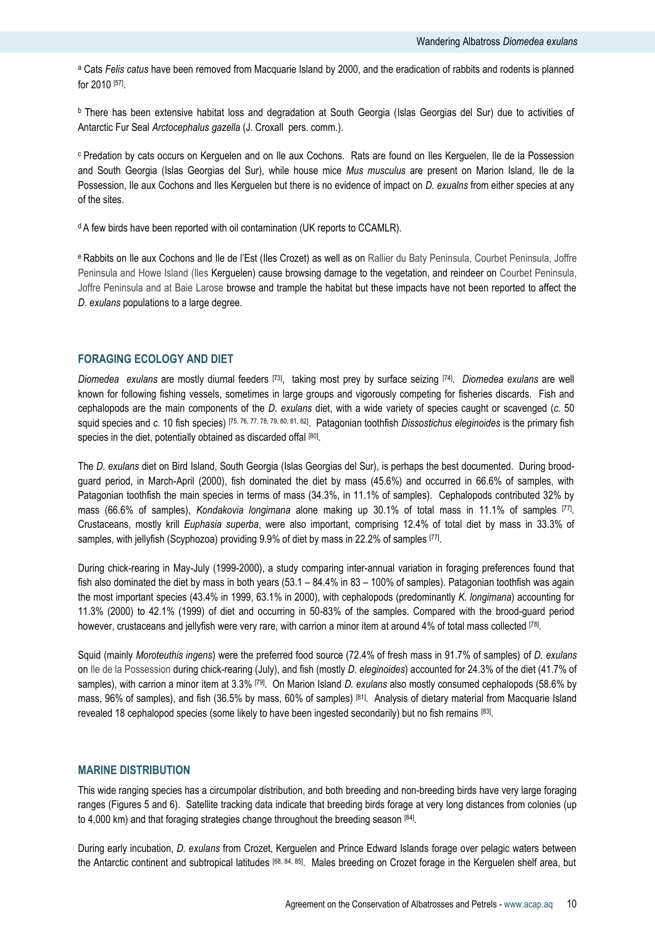<sup>a</sup> Cats *Felis catus* have been removed from Macquarie Island by 2000, and the eradication of rabbits and rodents is planned for 2010 [57] .

<sup>b</sup> There has been extensive habitat loss and degradation at South Georgia (Islas Georgias del Sur) due to activities of Antarctic Fur Seal *Arctocephalus gazella* (J. Croxall pers. comm.).

<sup>c</sup> Predation by cats occurs on Kerguelen and on Ile aux Cochons. Rats are found on Iles Kerguelen, Ile de la Possession and South Georgia (Islas Georgias del Sur), while house mice *Mus musculus* are present on Marion Island, Ile de la Possession, Ile aux Cochons and Iles Kerguelen but there is no evidence of impact on *D. exualns* from either species at any of the sites.

<sup>d</sup> A few birds have been reported with oil contamination (UK reports to CCAMLR).

e Rabbits on Ile aux Cochons and Ile de l'Est (Iles Crozet) as well as on Rallier du Baty Peninsula, Courbet Peninsula, Joffre Peninsula and Howe Island (Iles Kerguelen) cause browsing damage to the vegetation, and reindeer on Courbet Peninsula, Joffre Peninsula and at Baie Larose browse and trample the habitat but these impacts have not been reported to affect the *D. exulans* populations to a large degree.

# **FORAGING ECOLOGY AND DIET**

*Diomedea exulans* are mostly diurnal feeders [73], taking most prey by surface seizing [74] . *Diomedea exulans* are well known for following fishing vessels, sometimes in large groups and vigorously competing for fisheries discards. Fish and cephalopods are the main components of the *D. exulans* diet, with a wide variety of species caught or scavenged (*c.* 50 squid species and *c*. 10 fish species) [75, 76, 77, 78, 79, 80, 81, 82] . Patagonian toothfish *Dissostichus eleginoides* is the primary fish species in the diet, potentially obtained as discarded offal [80].

The *D. exulans* diet on Bird Island, South Georgia (Islas Georgias del Sur), is perhaps the best documented. During broodguard period, in March-April (2000), fish dominated the diet by mass (45.6%) and occurred in 66.6% of samples, with Patagonian toothfish the main species in terms of mass (34.3%, in 11.1% of samples). Cephalopods contributed 32% by mass (66.6% of samples), *Kondakovia longimana* alone making up 30.1% of total mass in 11.1% of samples [77] . Crustaceans, mostly krill *Euphasia superba*, were also important, comprising 12.4% of total diet by mass in 33.3% of samples, with jellyfish (Scyphozoa) providing 9.9% of diet by mass in 22.2% of samples [77].

During chick-rearing in May-July (1999-2000), a study comparing inter-annual variation in foraging preferences found that fish also dominated the diet by mass in both years  $(53.1 - 84.4\%$  in 83 – 100% of samples). Patagonian toothfish was again the most important species (43.4% in 1999, 63.1% in 2000), with cephalopods (predominantly *K. longimana*) accounting for 11.3% (2000) to 42.1% (1999) of diet and occurring in 50-83% of the samples. Compared with the brood-guard period however, crustaceans and jellyfish were very rare, with carrion a minor item at around 4% of total mass collected <sup>[78]</sup>.

Squid (mainly *Moroteuthis ingens*) were the preferred food source (72.4% of fresh mass in 91.7% of samples) of *D. exulans* on Ile de la Possession during chick-rearing (July), and fish (mostly *D. eleginoides*) accounted for 24.3% of the diet (41.7% of samples), with carrion a minor item at 3.3% [79] . On Marion Island *D. exulans* also mostly consumed cephalopods (58.6% by mass, 96% of samples), and fish (36.5% by mass, 60% of samples) [81] . Analysis of dietary material from Macquarie Island revealed 18 cephalopod species (some likely to have been ingested secondarily) but no fish remains [83].

### **MARINE DISTRIBUTION**

This wide ranging species has a circumpolar distribution, and both breeding and non-breeding birds have very large foraging ranges (Figures 5 and 6). Satellite tracking data indicate that breeding birds forage at very long distances from colonies (up to 4,000 km) and that foraging strategies change throughout the breeding season [84].

During early incubation, *D. exulans* from Crozet, Kerguelen and Prince Edward Islands forage over pelagic waters between the Antarctic continent and subtropical latitudes <sup>[68, 84, 85]</sup>. Males breeding on Crozet forage in the Kerguelen shelf area, but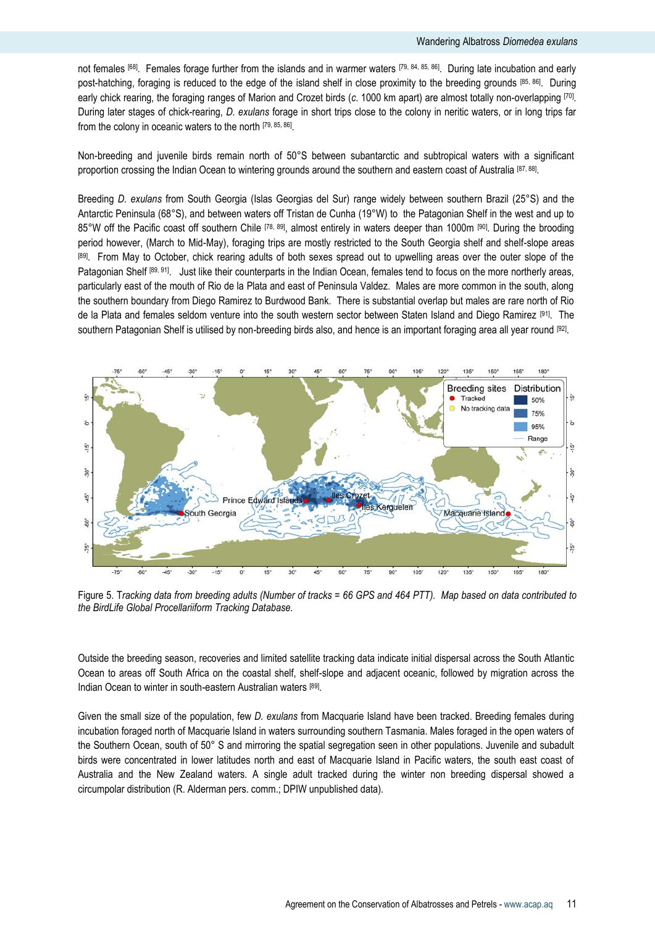not females <sup>[68]</sup>. Females forage further from the islands and in warmer waters [79, 84, 85, 86]. During late incubation and early post-hatching, foraging is reduced to the edge of the island shelf in close proximity to the breeding grounds [85, 86] . During early chick rearing, the foraging ranges of Marion and Crozet birds (*c*. 1000 km apart) are almost totally non-overlapping [70] . During later stages of chick-rearing, *D. exulans* forage in short trips close to the colony in neritic waters, or in long trips far from the colony in oceanic waters to the north [79, 85, 86] .

Non-breeding and juvenile birds remain north of 50°S between subantarctic and subtropical waters with a significant proportion crossing the Indian Ocean to wintering grounds around the southern and eastern coast of Australia <sup>[87, 88]</sup>.

Breeding *D. exulans* from South Georgia (Islas Georgias del Sur) range widely between southern Brazil (25°S) and the Antarctic Peninsula (68°S), and between waters off Tristan de Cunha (19°W) to the Patagonian Shelf in the west and up to 85°W off the Pacific coast off southern Chile [78, 89], almost entirely in waters deeper than 1000m [90]. During the brooding period however, (March to Mid-May), foraging trips are mostly restricted to the South Georgia shelf and shelf-slope areas [89]. From May to October, chick rearing adults of both sexes spread out to upwelling areas over the outer slope of the Patagonian Shelf [89, 91]. Just like their counterparts in the Indian Ocean, females tend to focus on the more northerly areas, particularly east of the mouth of Rio de la Plata and east of Peninsula Valdez. Males are more common in the south, along the southern boundary from Diego Ramirez to Burdwood Bank. There is substantial overlap but males are rare north of Rio de la Plata and females seldom venture into the south western sector between Staten Island and Diego Ramirez [91]. The southern Patagonian Shelf is utilised by non-breeding birds also, and hence is an important foraging area all year round



Figure 5. T*racking data from breeding adults (Number of tracks = 66 GPS and 464 PTT). Map based on data contributed to the BirdLife Global Procellariiform Tracking Database.*

Outside the breeding season, recoveries and limited satellite tracking data indicate initial dispersal across the South Atlantic Ocean to areas off South Africa on the coastal shelf, shelf-slope and adjacent oceanic, followed by migration across the Indian Ocean to winter in south-eastern Australian waters [89].

Given the small size of the population, few *D. exulans* from Macquarie Island have been tracked. Breeding females during incubation foraged north of Macquarie Island in waters surrounding southern Tasmania. Males foraged in the open waters of the Southern Ocean, south of 50° S and mirroring the spatial segregation seen in other populations. Juvenile and subadult birds were concentrated in lower latitudes north and east of Macquarie Island in Pacific waters, the south east coast of Australia and the New Zealand waters. A single adult tracked during the winter non breeding dispersal showed a circumpolar distribution (R. Alderman pers. comm.; DPIW unpublished data).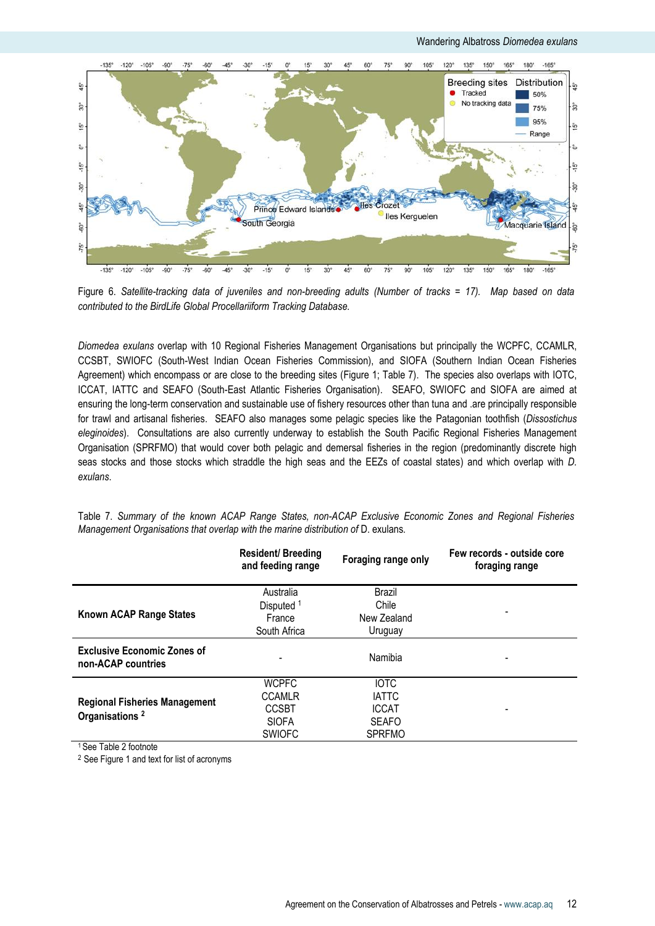

Figure 6. *Satellite-tracking data of juveniles and non-breeding adults (Number of tracks = 17). Map based on data contributed to the BirdLife Global Procellariiform Tracking Database.*

*Diomedea exulans* overlap with 10 Regional Fisheries Management Organisations but principally the WCPFC, CCAMLR, CCSBT, SWIOFC (South-West Indian Ocean Fisheries Commission), and SIOFA (Southern Indian Ocean Fisheries Agreement) which encompass or are close to the breeding sites (Figure 1; Table 7). The species also overlaps with IOTC, ICCAT, IATTC and SEAFO (South-East Atlantic Fisheries Organisation). SEAFO, SWIOFC and SIOFA are aimed at ensuring the long-term conservation and sustainable use of fishery resources other than tuna and .are principally responsible for trawl and artisanal fisheries. SEAFO also manages some pelagic species like the Patagonian toothfish (*Dissostichus eleginoides*). Consultations are also currently underway to establish the South Pacific Regional Fisheries Management Organisation (SPRFMO) that would cover both pelagic and demersal fisheries in the region (predominantly discrete high seas stocks and those stocks which straddle the high seas and the EEZs of coastal states) and which overlap with *D. exulans*.

| Table 7. Summary of the known ACAP Range States, non-ACAP Exclusive Economic Zones and Regional Fisheries |  |  |  |  |  |  |
|-----------------------------------------------------------------------------------------------------------|--|--|--|--|--|--|
| Management Organisations that overlap with the marine distribution of D. exulans.                         |  |  |  |  |  |  |

|                                                          | <b>Resident/ Breeding</b><br>and feeding range | Foraging range only | Few records - outside core<br>foraging range |
|----------------------------------------------------------|------------------------------------------------|---------------------|----------------------------------------------|
|                                                          | Australia                                      | <b>Brazil</b>       |                                              |
|                                                          | Disputed <sup>1</sup>                          | Chile               |                                              |
| Known ACAP Range States                                  | France                                         | New Zealand         |                                              |
|                                                          | South Africa                                   | Uruguay             |                                              |
| <b>Exclusive Economic Zones of</b><br>non-ACAP countries |                                                | Namibia             |                                              |
|                                                          | <b>WCPFC</b>                                   | <b>IOTC</b>         |                                              |
| <b>Regional Fisheries Management</b>                     | <b>CCAMLR</b>                                  | <b>IATTC</b>        |                                              |
|                                                          | <b>CCSBT</b>                                   | <b>ICCAT</b>        |                                              |
| Organisations <sup>2</sup>                               | <b>SIOFA</b>                                   | <b>SEAFO</b>        |                                              |
|                                                          | <b>SWIOFC</b>                                  | <b>SPRFMO</b>       |                                              |

<sup>1</sup> See Table 2 footnote

<sup>2</sup> See Figure 1 and text for list of acronyms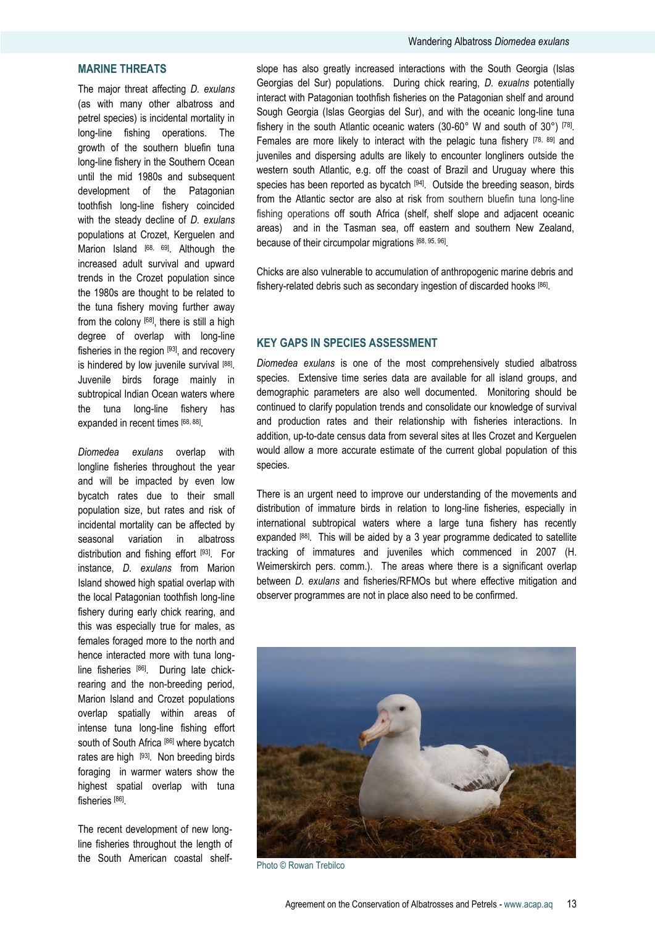# **MARINE THREATS**

The major threat affecting *D. exulans* (as with many other albatross and petrel species) is incidental mortality in long-line fishing operations. The growth of the southern bluefin tuna long-line fishery in the Southern Ocean until the mid 1980s and subsequent development of the Patagonian toothfish long-line fishery coincided with the steady decline of *D. exulans* populations at Crozet, Kerguelen and Marion Island <sup>[68, 69]</sup>. Although the increased adult survival and upward trends in the Crozet population since the 1980s are thought to be related to the tuna fishery moving further away from the colony <sup>[68]</sup>, there is still a high degree of overlap with long-line fisheries in the region <sup>[93]</sup>, and recovery is hindered by low juvenile survival [88]. Juvenile birds forage mainly in subtropical Indian Ocean waters where the tuna long-line fishery has expanded in recent times [68, 88].

*Diomedea exulans* overlap with longline fisheries throughout the year and will be impacted by even low bycatch rates due to their small population size, but rates and risk of incidental mortality can be affected by seasonal variation in albatross distribution and fishing effort [93]. For instance, *D. exulans* from Marion Island showed high spatial overlap with the local Patagonian toothfish long-line fishery during early chick rearing, and this was especially true for males, as females foraged more to the north and hence interacted more with tuna longline fisheries [86]. During late chickrearing and the non-breeding period, Marion Island and Crozet populations overlap spatially within areas of intense tuna long-line fishing effort south of South Africa [86] where bycatch rates are high [93]. Non breeding birds foraging in warmer waters show the highest spatial overlap with tuna fisheries [86] .

The recent development of new longline fisheries throughout the length of the South American coastal shelf-

slope has also greatly increased interactions with the South Georgia (Islas Georgias del Sur) populations. During chick rearing, *D. exualns* potentially interact with Patagonian toothfish fisheries on the Patagonian shelf and around Sough Georgia (Islas Georgias del Sur), and with the oceanic long-line tuna fishery in the south Atlantic oceanic waters (30-60° W and south of 30°) [78] . Females are more likely to interact with the pelagic tuna fishery [78, 89] and juveniles and dispersing adults are likely to encounter longliners outside the western south Atlantic, e.g. off the coast of Brazil and Uruguay where this species has been reported as bycatch [94]. Outside the breeding season, birds from the Atlantic sector are also at risk from southern bluefin tuna long-line fishing operations off south Africa (shelf, shelf slope and adjacent oceanic areas) and in the Tasman sea, off eastern and southern New Zealand, because of their circumpolar migrations [68, 95, 96] .

Chicks are also vulnerable to accumulation of anthropogenic marine debris and fishery-related debris such as secondary ingestion of discarded hooks [86].

# **KEY GAPS IN SPECIES ASSESSMENT**

*Diomedea exulans* is one of the most comprehensively studied albatross species. Extensive time series data are available for all island groups, and demographic parameters are also well documented. Monitoring should be continued to clarify population trends and consolidate our knowledge of survival and production rates and their relationship with fisheries interactions. In addition, up-to-date census data from several sites at Iles Crozet and Kerguelen would allow a more accurate estimate of the current global population of this species.

There is an urgent need to improve our understanding of the movements and distribution of immature birds in relation to long-line fisheries, especially in international subtropical waters where a large tuna fishery has recently expanded [88]. This will be aided by a 3 year programme dedicated to satellite tracking of immatures and juveniles which commenced in 2007 (H. Weimerskirch pers. comm.). The areas where there is a significant overlap between *D. exulans* and fisheries/RFMOs but where effective mitigation and observer programmes are not in place also need to be confirmed.



Photo © Rowan Trebilco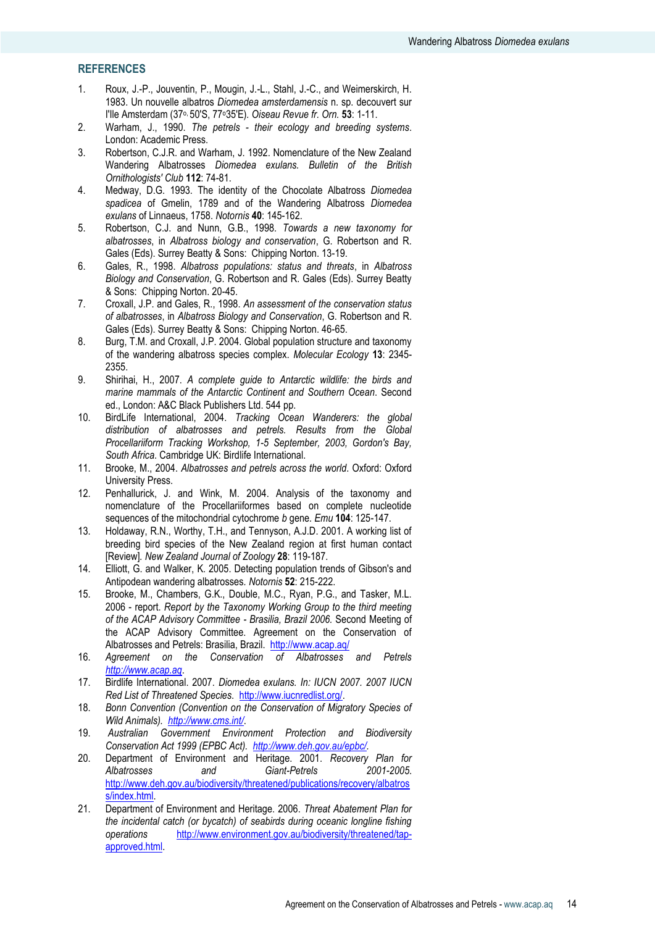# **REFERENCES**

- 1. Roux, J.-P., Jouventin, P., Mougin, J.-L., Stahl, J.-C., and Weimerskirch, H. 1983. Un nouvelle albatros *Diomedea amsterdamensis* n. sp. decouvert sur I'Ile Amsterdam (37o, 50'S, 77o35'E)*. Oiseau Revue fr. Orn.* **53**: 1-11.
- 2. Warham, J., 1990. *The petrels - their ecology and breeding systems*. London: Academic Press.
- 3. Robertson, C.J.R. and Warham, J. 1992. Nomenclature of the New Zealand Wandering Albatrosses *Diomedea exulans. Bulletin of the British Ornithologists' Club* **112**: 74-81.
- 4. Medway, D.G. 1993. The identity of the Chocolate Albatross *Diomedea spadicea* of Gmelin, 1789 and of the Wandering Albatross *Diomedea exulans* of Linnaeus, 1758. *Notornis* **40**: 145-162.
- 5. Robertson, C.J. and Nunn, G.B., 1998. *Towards a new taxonomy for albatrosses*, in *Albatross biology and conservation*, G. Robertson and R. Gales (Eds). Surrey Beatty & Sons: Chipping Norton. 13-19.
- 6. Gales, R., 1998. *Albatross populations: status and threats*, in *Albatross Biology and Conservation*, G. Robertson and R. Gales (Eds). Surrey Beatty & Sons: Chipping Norton. 20-45.
- 7. Croxall, J.P. and Gales, R., 1998. *An assessment of the conservation status of albatrosses*, in *Albatross Biology and Conservation*, G. Robertson and R. Gales (Eds). Surrey Beatty & Sons: Chipping Norton. 46-65.
- 8. Burg, T.M. and Croxall, J.P. 2004. Global population structure and taxonomy of the wandering albatross species complex*. Molecular Ecology* **13**: 2345- 2355.
- 9. Shirihai, H., 2007. *A complete guide to Antarctic wildlife: the birds and marine mammals of the Antarctic Continent and Southern Ocean*. Second ed., London: A&C Black Publishers Ltd. 544 pp.
- 10. BirdLife International, 2004. *Tracking Ocean Wanderers: the global distribution of albatrosses and petrels. Results from the Global Procellariiform Tracking Workshop, 1-5 September, 2003, Gordon's Bay, South Africa*. Cambridge UK: Birdlife International.
- 11. Brooke, M., 2004. *Albatrosses and petrels across the world*. Oxford: Oxford University Press.
- 12. Penhallurick, J. and Wink, M. 2004. Analysis of the taxonomy and nomenclature of the Procellariiformes based on complete nucleotide sequences of the mitochondrial cytochrome *b* gene*. Emu* **104**: 125-147.
- 13. Holdaway, R.N., Worthy, T.H., and Tennyson, A.J.D. 2001. A working list of breeding bird species of the New Zealand region at first human contact [Review]*. New Zealand Journal of Zoology* **28**: 119-187.
- 14. Elliott, G. and Walker, K. 2005. Detecting population trends of Gibson's and Antipodean wandering albatrosses*. Notornis* **52**: 215-222.
- 15. Brooke, M., Chambers, G.K., Double, M.C., Ryan, P.G., and Tasker, M.L. 2006 - report. *Report by the Taxonomy Working Group to the third meeting of the ACAP Advisory Committee - Brasilia, Brazil 2006.* Second Meeting of the ACAP Advisory Committee. Agreement on the Conservation of Albatrosses and Petrels: Brasilia, Brazil. <http://www.acap.aq/>
- 16. *Agreement on the Conservation of Albatrosses and Petrels [http://www.acap.aq](http://www.acap.aq/)*.
- 17. Birdlife International. 2007. *Diomedea exulans. In: IUCN 2007. 2007 IUCN Red List of Threatened Species*. [http://www.iucnredlist.org/.](http://www.iucnredlist.org/)
- 18. *Bonn Convention (Convention on the Conservation of Migratory Species of Wild Animals). <http://www.cms.int/>*.
- 19. *Australian Government Environment Protection and Biodiversity Conservation Act 1999 (EPBC Act). [http://www.deh.gov.au/epbc/.](http://www.deh.gov.au/epbc/)*
- 20. Department of Environment and Heritage. 2001. *Recovery Plan for Albatrosses and Giant-Petrels 2001-2005*. [http://www.deh.gov.au/biodiversity/threatened/publications/recovery/albatros](http://www.deh.gov.au/biodiversity/threatened/publications/recovery/albatross/index.html) [s/index.html.](http://www.deh.gov.au/biodiversity/threatened/publications/recovery/albatross/index.html)
- 21. Department of Environment and Heritage. 2006. *Threat Abatement Plan for the incidental catch (or bycatch) of seabirds during oceanic longline fishing operations* [http://www.environment.gov.au/biodiversity/threatened/tap](http://www.environment.gov.au/biodiversity/threatened/tap-approved.html)[approved.html.](http://www.environment.gov.au/biodiversity/threatened/tap-approved.html)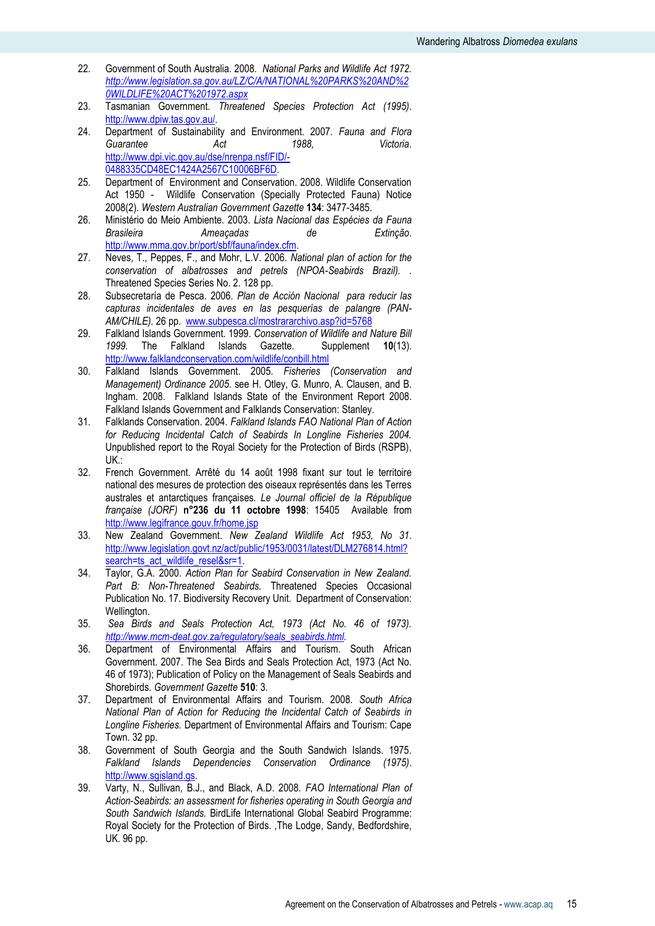- 22. Government of South Australia. 2008. *National Parks and Wildlife Act 1972. [http://www.legislation.sa.gov.au/LZ/C/A/NATIONAL%20PARKS%20AND%2](http://www.legislation.sa.gov.au/LZ/C/A/NATIONAL%20PARKS%20AND%20WILDLIFE%20ACT%201972.aspx) [0WILDLIFE%20ACT%201972.aspx](http://www.legislation.sa.gov.au/LZ/C/A/NATIONAL%20PARKS%20AND%20WILDLIFE%20ACT%201972.aspx)*
- 23. Tasmanian Government. *Threatened Species Protection Act (1995)*. [http://www.dpiw.tas.gov.au/.](http://www.dpiw.tas.gov.au/)
- 24. Department of Sustainability and Environment. 2007. *Fauna and Flora Guarantee Act 1988, Victoria*. [http://www.dpi.vic.gov.au/dse/nrenpa.nsf/FID/-](http://www.dpi.vic.gov.au/dse/nrenpa.nsf/FID/-0488335CD48EC1424A2567C10006BF6D) [0488335CD48EC1424A2567C10006BF6D.](http://www.dpi.vic.gov.au/dse/nrenpa.nsf/FID/-0488335CD48EC1424A2567C10006BF6D)
- 25. Department of Environment and Conservation. 2008. Wildlife Conservation Act 1950 - Wildlife Conservation (Specially Protected Fauna) Notice 2008(2)*. Western Australian Government Gazette* **134**: 3477-3485.
- 26. Ministério do Meio Ambiente. 2003. *Lista Nacional das Espécies da Fauna Brasileira Ameaçadas de Extinção*. [http://www.mma.gov.br/port/sbf/fauna/index.cfm.](http://www.mma.gov.br/port/sbf/fauna/index.cfm)
- 27. Neves, T., Peppes, F., and Mohr, L.V. 2006. *National plan of action for the conservation of albatrosses and petrels (NPOA-Seabirds Brazil). .* Threatened Species Series No. 2. 128 pp.
- 28. Subsecretaría de Pesca. 2006. *Plan de Acción Nacional para reducir las capturas incidentales de aves en las pesquerías de palangre (PAN-AM/CHILE).* 26 pp. [www.subpesca.cl/mostrararchivo.asp?id=5768](http://www.subpesca.cl/mostrararchivo.asp?id=5768)
- 29. Falkland Islands Government. 1999. *Conservation of Wildlife and Nature Bill*  1999. The Falkland Islands Gazette. <http://www.falklandconservation.com/wildlife/conbill.html>
- 30. Falkland Islands Government. 2005. *Fisheries (Conservation and Management) Ordinance 2005*. see H. Otley, G. Munro, A. Clausen, and B. Ingham. 2008. Falkland Islands State of the Environment Report 2008. Falkland Islands Government and Falklands Conservation: Stanley.
- 31. Falklands Conservation. 2004. *Falkland Islands FAO National Plan of Action for Reducing Incidental Catch of Seabirds In Longline Fisheries 2004.* Unpublished report to the Royal Society for the Protection of Birds (RSPB), UK.:
- 32. French Government. Arrêté du 14 août 1998 fixant sur tout le territoire national des mesures de protection des oiseaux représentés dans les Terres australes et antarctiques françaises*. Le Journal officiel de la République française (JORF)* **n°236 du 11 octobre 1998**: 15405 Available from <http://www.legifrance.gouv.fr/home.jsp>
- 33. New Zealand Government. *New Zealand Wildlife Act 1953, No 31*. [http://www.legislation.govt.nz/act/public/1953/0031/latest/DLM276814.html?](http://www.legislation.govt.nz/act/public/1953/0031/latest/DLM276814.html?search=ts_act_wildlife_resel&sr=1) [search=ts\\_act\\_wildlife\\_resel&sr=1.](http://www.legislation.govt.nz/act/public/1953/0031/latest/DLM276814.html?search=ts_act_wildlife_resel&sr=1)
- 34. Taylor, G.A. 2000. *Action Plan for Seabird Conservation in New Zealand. Part B: Non-Threatened Seabirds.* Threatened Species Occasional Publication No. 17. Biodiversity Recovery Unit. Department of Conservation: Wellington.
- 35. *Sea Birds and Seals Protection Act, 1973 (Act No. 46 of 1973). [http://www.mcm-deat.gov.za/regulatory/seals\\_seabirds.html.](http://www.mcm-deat.gov.za/regulatory/seals_seabirds.html)*
- 36. Department of Environmental Affairs and Tourism. South African Government. 2007. The Sea Birds and Seals Protection Act, 1973 (Act No. 46 of 1973); Publication of Policy on the Management of Seals Seabirds and Shorebirds*. Government Gazette* **510**: 3.
- 37. Department of Environmental Affairs and Tourism. 2008. *South Africa National Plan of Action for Reducing the Incidental Catch of Seabirds in Longline Fisheries.* Department of Environmental Affairs and Tourism: Cape Town. 32 pp.
- 38. Government of South Georgia and the South Sandwich Islands. 1975. *Falkland Islands Dependencies Conservation Ordinance (1975)*. [http://www.sgisland.gs.](http://www.sgisland.gs/)
- 39. Varty, N., Sullivan, B.J., and Black, A.D. 2008. *FAO International Plan of Action-Seabirds: an assessment for fisheries operating in South Georgia and South Sandwich Islands.* BirdLife International Global Seabird Programme: Royal Society for the Protection of Birds. ,The Lodge, Sandy, Bedfordshire, UK. 96 pp.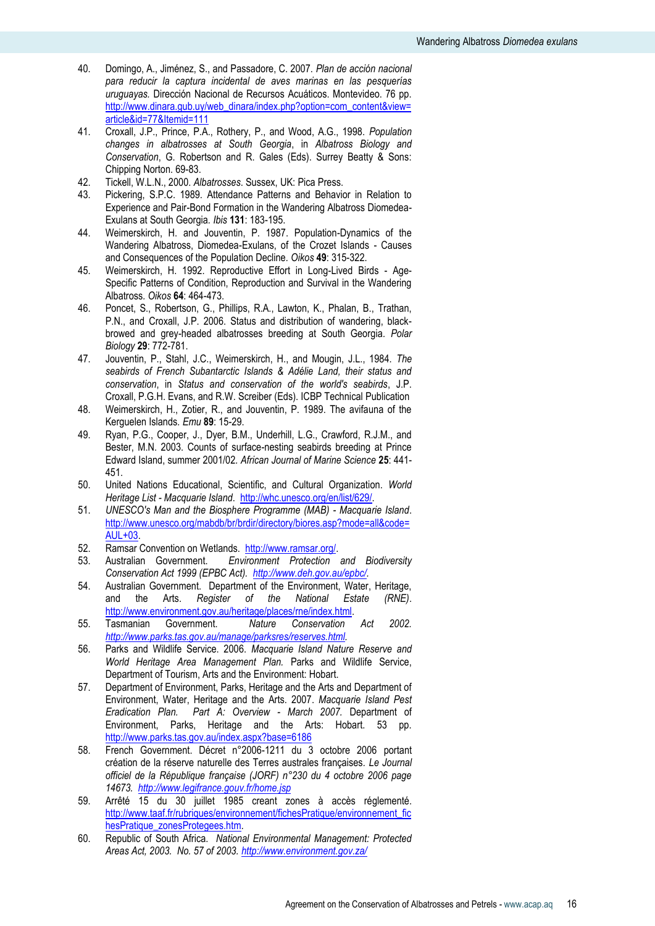- 40. Domingo, A., Jiménez, S., and Passadore, C. 2007. *Plan de acción nacional para reducir la captura incidental de aves marinas en las pesquerías uruguayas.* Dirección Nacional de Recursos Acuáticos. Montevideo. 76 pp. [http://www.dinara.gub.uy/web\\_dinara/index.php?option=com\\_content&view=](http://www.dinara.gub.uy/web_dinara/index.php?option=com_content&view=article&id=77&Itemid=111) [article&id=77&Itemid=111](http://www.dinara.gub.uy/web_dinara/index.php?option=com_content&view=article&id=77&Itemid=111)
- 41. Croxall, J.P., Prince, P.A., Rothery, P., and Wood, A.G., 1998. *Population changes in albatrosses at South Georgia*, in *Albatross Biology and Conservation*, G. Robertson and R. Gales (Eds). Surrey Beatty & Sons: Chipping Norton. 69-83.
- 42. Tickell, W.L.N., 2000. *Albatrosses*. Sussex, UK: Pica Press.
- 43. Pickering, S.P.C. 1989. Attendance Patterns and Behavior in Relation to Experience and Pair-Bond Formation in the Wandering Albatross Diomedea-Exulans at South Georgia*. Ibis* **131**: 183-195.
- 44. Weimerskirch, H. and Jouventin, P. 1987. Population-Dynamics of the Wandering Albatross, Diomedea-Exulans, of the Crozet Islands - Causes and Consequences of the Population Decline*. Oikos* **49**: 315-322.
- 45. Weimerskirch, H. 1992. Reproductive Effort in Long-Lived Birds Age-Specific Patterns of Condition, Reproduction and Survival in the Wandering Albatross*. Oikos* **64**: 464-473.
- 46. Poncet, S., Robertson, G., Phillips, R.A., Lawton, K., Phalan, B., Trathan, P.N., and Croxall, J.P. 2006. Status and distribution of wandering, blackbrowed and grey-headed albatrosses breeding at South Georgia*. Polar Biology* **29**: 772-781.
- 47. Jouventin, P., Stahl, J.C., Weimerskirch, H., and Mougin, J.L., 1984. *The seabirds of French Subantarctic Islands & Adélie Land, their status and conservation*, in *Status and conservation of the world's seabirds*, J.P. Croxall, P.G.H. Evans, and R.W. Screiber (Eds). ICBP Technical Publication
- 48. Weimerskirch, H., Zotier, R., and Jouventin, P. 1989. The avifauna of the Kerguelen Islands*. Emu* **89**: 15-29.
- 49. Ryan, P.G., Cooper, J., Dyer, B.M., Underhill, L.G., Crawford, R.J.M., and Bester, M.N. 2003. Counts of surface-nesting seabirds breeding at Prince Edward Island, summer 2001/02*. African Journal of Marine Science* **25**: 441- 451.
- 50. United Nations Educational, Scientific, and Cultural Organization. *World Heritage List - Macquarie Island*. [http://whc.unesco.org/en/list/629/.](http://whc.unesco.org/en/list/629/)
- 51. *UNESCO's Man and the Biosphere Programme (MAB) - Macquarie Island*. [http://www.unesco.org/mabdb/br/brdir/directory/biores.asp?mode=all&code=](http://www.unesco.org/mabdb/br/brdir/directory/biores.asp?mode=all&code=AUL+03) [AUL+03.](http://www.unesco.org/mabdb/br/brdir/directory/biores.asp?mode=all&code=AUL+03)
- 52. Ramsar Convention on Wetlands. [http://www.ramsar.org/.](http://www.ramsar.org/)
- 53. Australian Government. *Environment Protection and Biodiversity Conservation Act 1999 (EPBC Act). [http://www.deh.gov.au/epbc/.](http://www.deh.gov.au/epbc/)*
- 54. Australian Government. Department of the Environment, Water, Heritage, and the Arts. *Register of the National Estate (RNE)*. [http://www.environment.gov.au/heritage/places/rne/index.html.](http://www.environment.gov.au/heritage/places/rne/index.html)
- 55. Tasmanian Government. *Nature Conservation Act 2002. [http://www.parks.tas.gov.au/manage/parksres/reserves.html.](http://www.parks.tas.gov.au/manage/parksres/reserves.html)*
- 56. Parks and Wildlife Service. 2006. *Macquarie Island Nature Reserve and World Heritage Area Management Plan.* Parks and Wildlife Service, Department of Tourism, Arts and the Environment: Hobart.
- 57. Department of Environment, Parks, Heritage and the Arts and Department of Environment, Water, Heritage and the Arts. 2007. *Macquarie Island Pest Eradication Plan. Part A: Overview - March 2007.* Department of Environment, Parks, Heritage and the Arts: Hobart. 53 pp. <http://www.parks.tas.gov.au/index.aspx?base=6186>
- 58. French Government. Décret n°2006-1211 du 3 octobre 2006 portant création de la réserve naturelle des Terres australes françaises*. Le Journal officiel de la République française (JORF) n°230 du 4 octobre 2006 page 14673.<http://www.legifrance.gouv.fr/home.jsp>*
- 59. Arrêté 15 du 30 juillet 1985 creant zones à accès réglementé. [http://www.taaf.fr/rubriques/environnement/fichesPratique/environnement\\_fic](http://www.taaf.fr/rubriques/environnement/fichesPratique/environnement_fichesPratique_zonesProtegees.htm) [hesPratique\\_zonesProtegees.htm](http://www.taaf.fr/rubriques/environnement/fichesPratique/environnement_fichesPratique_zonesProtegees.htm)*.*
- 60. Republic of South Africa. *National Environmental Management: Protected Areas Act, 2003. No. 57 of 2003.<http://www.environment.gov.za/>*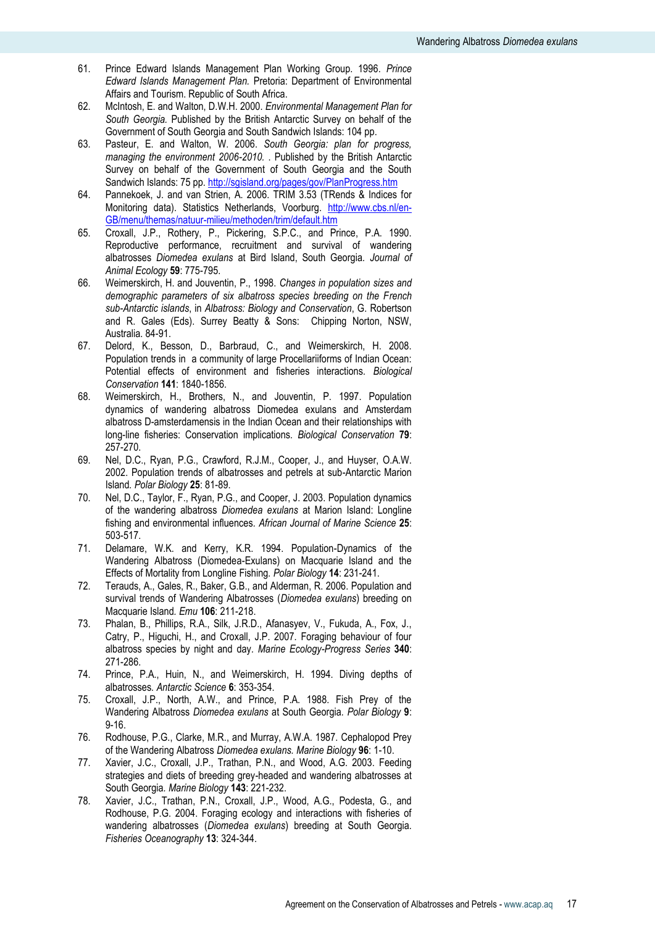- 61. Prince Edward Islands Management Plan Working Group. 1996. *Prince Edward Islands Management Plan.* Pretoria: Department of Environmental Affairs and Tourism. Republic of South Africa.
- 62. McIntosh, E. and Walton, D.W.H. 2000. *Environmental Management Plan for South Georgia.* Published by the British Antarctic Survey on behalf of the Government of South Georgia and South Sandwich Islands: 104 pp.
- 63. Pasteur, E. and Walton, W. 2006. *South Georgia: plan for progress, managing the environment 2006-2010.* . Published by the British Antarctic Survey on behalf of the Government of South Georgia and the South Sandwich Islands: 75 pp.<http://sgisland.org/pages/gov/PlanProgress.htm>
- 64. Pannekoek, J. and van Strien, A. 2006. TRIM 3.53 (TRends & Indices for Monitoring data). Statistics Netherlands, Voorburg. [http://www.cbs.nl/en-](http://www.cbs.nl/en-GB/menu/themas/natuur-milieu/methoden/trim/default.htm)[GB/menu/themas/natuur-milieu/methoden/trim/default.htm](http://www.cbs.nl/en-GB/menu/themas/natuur-milieu/methoden/trim/default.htm)
- 65. Croxall, J.P., Rothery, P., Pickering, S.P.C., and Prince, P.A. 1990. Reproductive performance, recruitment and survival of wandering albatrosses *Diomedea exulans* at Bird Island, South Georgia*. Journal of Animal Ecology* **59**: 775-795.
- 66. Weimerskirch, H. and Jouventin, P., 1998. *Changes in population sizes and demographic parameters of six albatross species breeding on the French sub-Antarctic islands*, in *Albatross: Biology and Conservation*, G. Robertson and R. Gales (Eds). Surrey Beatty & Sons: Chipping Norton, NSW, Australia. 84-91.
- 67. Delord, K., Besson, D., Barbraud, C., and Weimerskirch, H. 2008. Population trends in a community of large Procellariiforms of Indian Ocean: Potential effects of environment and fisheries interactions*. Biological Conservation* **141**: 1840-1856.
- 68. Weimerskirch, H., Brothers, N., and Jouventin, P. 1997. Population dynamics of wandering albatross Diomedea exulans and Amsterdam albatross D-amsterdamensis in the Indian Ocean and their relationships with long-line fisheries: Conservation implications*. Biological Conservation* **79**: 257-270.
- 69. Nel, D.C., Ryan, P.G., Crawford, R.J.M., Cooper, J., and Huyser, O.A.W. 2002. Population trends of albatrosses and petrels at sub-Antarctic Marion Island*. Polar Biology* **25**: 81-89.
- 70. Nel, D.C., Taylor, F., Ryan, P.G., and Cooper, J. 2003. Population dynamics of the wandering albatross *Diomedea exulans* at Marion Island: Longline fishing and environmental influences*. African Journal of Marine Science* **25**: 503-517.
- 71. Delamare, W.K. and Kerry, K.R. 1994. Population-Dynamics of the Wandering Albatross (Diomedea-Exulans) on Macquarie Island and the Effects of Mortality from Longline Fishing*. Polar Biology* **14**: 231-241.
- 72. Terauds, A., Gales, R., Baker, G.B., and Alderman, R. 2006. Population and survival trends of Wandering Albatrosses (*Diomedea exulans*) breeding on Macquarie Island*. Emu* **106**: 211-218.
- 73. Phalan, B., Phillips, R.A., Silk, J.R.D., Afanasyev, V., Fukuda, A., Fox, J., Catry, P., Higuchi, H., and Croxall, J.P. 2007. Foraging behaviour of four albatross species by night and day*. Marine Ecology-Progress Series* **340**: 271-286.
- 74. Prince, P.A., Huin, N., and Weimerskirch, H. 1994. Diving depths of albatrosses*. Antarctic Science* **6**: 353-354.
- 75. Croxall, J.P., North, A.W., and Prince, P.A. 1988. Fish Prey of the Wandering Albatross *Diomedea exulans* at South Georgia*. Polar Biology* **9**: 9-16.
- 76. Rodhouse, P.G., Clarke, M.R., and Murray, A.W.A. 1987. Cephalopod Prey of the Wandering Albatross *Diomedea exulans. Marine Biology* **96**: 1-10.
- 77. Xavier, J.C., Croxall, J.P., Trathan, P.N., and Wood, A.G. 2003. Feeding strategies and diets of breeding grey-headed and wandering albatrosses at South Georgia*. Marine Biology* **143**: 221-232.
- 78. Xavier, J.C., Trathan, P.N., Croxall, J.P., Wood, A.G., Podesta, G., and Rodhouse, P.G. 2004. Foraging ecology and interactions with fisheries of wandering albatrosses (*Diomedea exulans*) breeding at South Georgia*. Fisheries Oceanography* **13**: 324-344.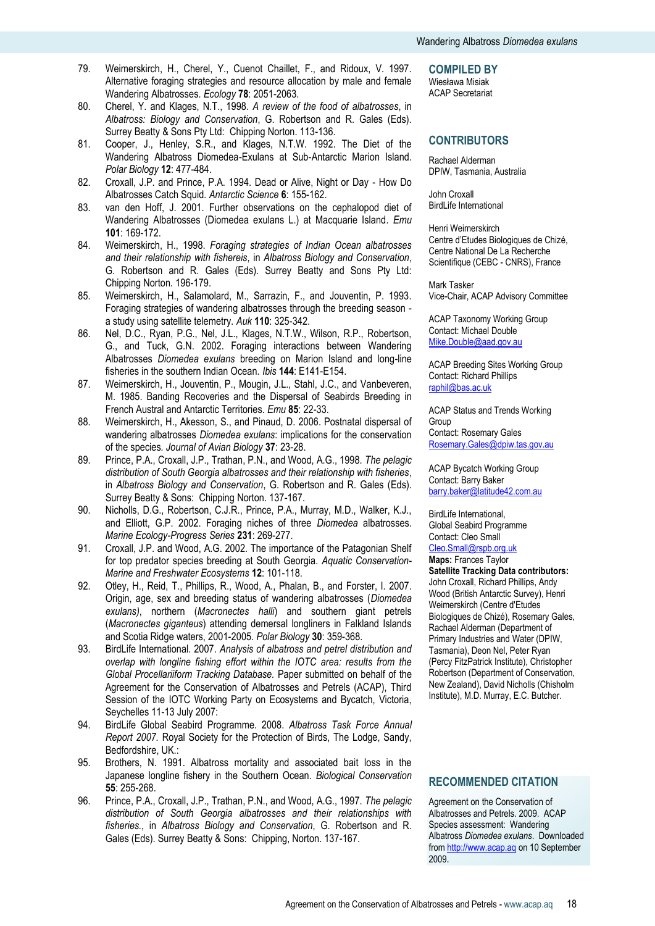- 79. Weimerskirch, H., Cherel, Y., Cuenot Chaillet, F., and Ridoux, V. 1997. Alternative foraging strategies and resource allocation by male and female Wandering Albatrosses*. Ecology* **78**: 2051-2063.
- 80. Cherel, Y. and Klages, N.T., 1998. *A review of the food of albatrosses*, in *Albatross: Biology and Conservation*, G. Robertson and R. Gales (Eds). Surrey Beatty & Sons Pty Ltd: Chipping Norton. 113-136.
- 81. Cooper, J., Henley, S.R., and Klages, N.T.W. 1992. The Diet of the Wandering Albatross Diomedea-Exulans at Sub-Antarctic Marion Island*. Polar Biology* **12**: 477-484.
- 82. Croxall, J.P. and Prince, P.A. 1994. Dead or Alive, Night or Day How Do Albatrosses Catch Squid*. Antarctic Science* **6**: 155-162.
- 83. van den Hoff, J. 2001. Further observations on the cephalopod diet of Wandering Albatrosses (Diomedea exulans L.) at Macquarie Island*. Emu* **101**: 169-172.
- 84. Weimerskirch, H., 1998. *Foraging strategies of Indian Ocean albatrosses and their relationship with fishereis*, in *Albatross Biology and Conservation*, G. Robertson and R. Gales (Eds). Surrey Beatty and Sons Pty Ltd: Chipping Norton. 196-179.
- 85. Weimerskirch, H., Salamolard, M., Sarrazin, F., and Jouventin, P. 1993. Foraging strategies of wandering albatrosses through the breeding season a study using satellite telemetry*. Auk* **110**: 325-342.
- 86. Nel, D.C., Ryan, P.G., Nel, J.L., Klages, N.T.W., Wilson, R.P., Robertson, G., and Tuck, G.N. 2002. Foraging interactions between Wandering Albatrosses *Diomedea exulans* breeding on Marion Island and long-line fisheries in the southern Indian Ocean*. Ibis* **144**: E141-E154.
- 87. Weimerskirch, H., Jouventin, P., Mougin, J.L., Stahl, J.C., and Vanbeveren, M. 1985. Banding Recoveries and the Dispersal of Seabirds Breeding in French Austral and Antarctic Territories*. Emu* **85**: 22-33.
- 88. Weimerskirch, H., Akesson, S., and Pinaud, D. 2006. Postnatal dispersal of wandering albatrosses *Diomedea exulans*: implications for the conservation of the species*. Journal of Avian Biology* **37**: 23-28.
- 89. Prince, P.A., Croxall, J.P., Trathan, P.N., and Wood, A.G., 1998. *The pelagic distribution of South Georgia albatrosses and their relationship with fisheries*, in *Albatross Biology and Conservation*, G. Robertson and R. Gales (Eds). Surrey Beatty & Sons: Chipping Norton. 137-167.
- 90. Nicholls, D.G., Robertson, C.J.R., Prince, P.A., Murray, M.D., Walker, K.J., and Elliott, G.P. 2002. Foraging niches of three *Diomedea* albatrosses*. Marine Ecology-Progress Series* **231**: 269-277.
- 91. Croxall, J.P. and Wood, A.G. 2002. The importance of the Patagonian Shelf for top predator species breeding at South Georgia*. Aquatic Conservation-Marine and Freshwater Ecosystems* **12**: 101-118.
- 92. Otley, H., Reid, T., Phillips, R., Wood, A., Phalan, B., and Forster, I. 2007. Origin, age, sex and breeding status of wandering albatrosses (*Diomedea exulans)*, northern (*Macronectes halli*) and southern giant petrels (*Macronectes giganteus*) attending demersal longliners in Falkland Islands and Scotia Ridge waters, 2001-2005*. Polar Biology* **30**: 359-368.
- 93. BirdLife International. 2007. *Analysis of albatross and petrel distribution and overlap with longline fishing effort within the IOTC area: results from the Global Procellariiform Tracking Database.* Paper submitted on behalf of the Agreement for the Conservation of Albatrosses and Petrels (ACAP), Third Session of the IOTC Working Party on Ecosystems and Bycatch, Victoria, Seychelles 11-13 July 2007:
- 94. BirdLife Global Seabird Programme. 2008. *Albatross Task Force Annual Report 2007.* Royal Society for the Protection of Birds, The Lodge, Sandy, Bedfordshire, UK.:
- 95. Brothers, N. 1991. Albatross mortality and associated bait loss in the Japanese longline fishery in the Southern Ocean*. Biological Conservation* **55**: 255-268.
- 96. Prince, P.A., Croxall, J.P., Trathan, P.N., and Wood, A.G., 1997. *The pelagic distribution of South Georgia albatrosses and their relationships with fisheries.*, in *Albatross Biology and Conservation*, G. Robertson and R. Gales (Eds). Surrey Beatty & Sons: Chipping, Norton. 137-167.

**COMPILED BY**

Wiesława Misiak ACAP Secretariat

# **CONTRIBUTORS**

Rachael Alderman DPIW, Tasmania, Australia

John Croxall BirdLife International

Henri Weimerskirch Centre d"Etudes Biologiques de Chizé, Centre National De La Recherche Scientifique (CEBC - CNRS), France

Mark Tasker Vice-Chair, ACAP Advisory Committee

ACAP Taxonomy Working Group Contact: Michael Double [Mike.Double@aad.gov.au](mailto:Mike.Double@aad.gov.au)

ACAP Breeding Sites Working Group Contact: Richard Phillips [raphil@bas.ac.uk](mailto:raphil@bas.ac.uk)

ACAP Status and Trends Working Group

Contact: Rosemary Gales [Rosemary.Gales@dpiw.tas.gov.au](mailto:Rosemary.Gales@dpiw.tas.gov.au)

ACAP Bycatch Working Group Contact: Barry Baker [barry.baker@latitude42.com.au](mailto:barry.baker@latitude42.com.au)

BirdLife International, Global Seabird Programme Contact: Cleo Small [Cleo.Small@rspb.org.uk](mailto:Cleo.Small@rspb.org.uk)

**Maps:** Frances Taylor **Satellite Tracking Data contributors:** John Croxall, Richard Phillips, Andy Wood (British Antarctic Survey), Henri Weimerskirch (Centre d'Etudes Biologiques de Chizé), Rosemary Gales, Rachael Alderman (Department of Primary Industries and Water (DPIW, Tasmania), Deon Nel, Peter Ryan (Percy FitzPatrick Institute), Christopher Robertson (Department of Conservation, New Zealand), David Nicholls (Chisholm Institute), M.D. Murray, E.C. Butcher.

# **RECOMMENDED CITATION**

Agreement on the Conservation of Albatrosses and Petrels. 2009. ACAP Species assessment: Wandering Albatross *Diomedea exulans*. Downloaded fro[m http://www.acap.aq](http://www.acap.aq/) on 10 September 2009.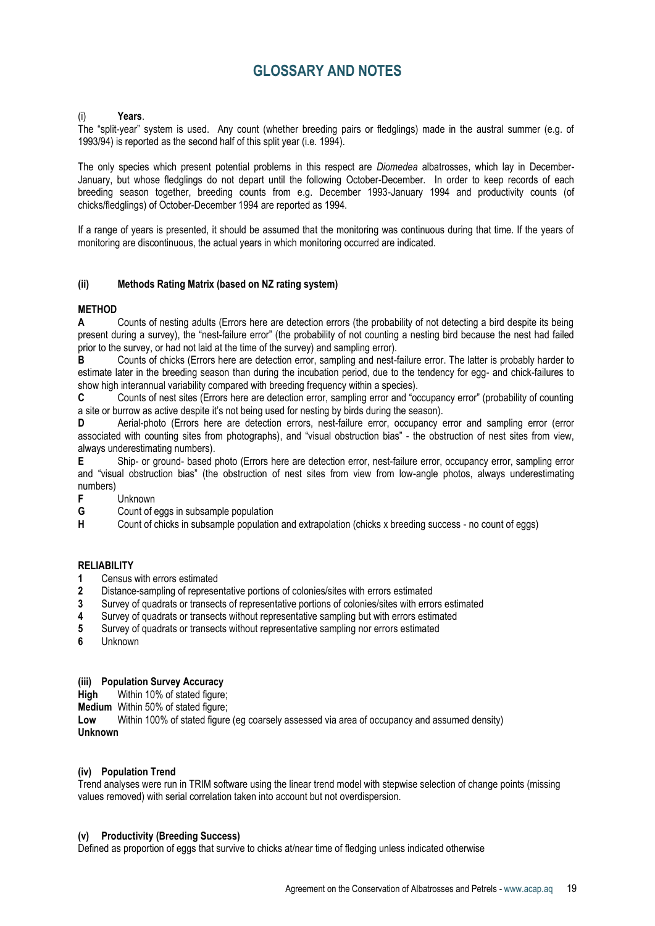# **GLOSSARY AND NOTES**

### (i) **Years**.

The "split-year" system is used. Any count (whether breeding pairs or fledglings) made in the austral summer (e.g. of 1993/94) is reported as the second half of this split year (i.e. 1994).

The only species which present potential problems in this respect are *Diomedea* albatrosses, which lay in December-January, but whose fledglings do not depart until the following October-December. In order to keep records of each breeding season together, breeding counts from e.g. December 1993-January 1994 and productivity counts (of chicks/fledglings) of October-December 1994 are reported as 1994.

If a range of years is presented, it should be assumed that the monitoring was continuous during that time. If the years of monitoring are discontinuous, the actual years in which monitoring occurred are indicated.

### **(ii) Methods Rating Matrix (based on NZ rating system)**

# **METHOD**

**A** Counts of nesting adults (Errors here are detection errors (the probability of not detecting a bird despite its being present during a survey), the "nest-failure error" (the probability of not counting a nesting bird because the nest had failed prior to the survey, or had not laid at the time of the survey) and sampling error).

**B** Counts of chicks (Errors here are detection error, sampling and nest-failure error. The latter is probably harder to estimate later in the breeding season than during the incubation period, due to the tendency for egg- and chick-failures to show high interannual variability compared with breeding frequency within a species).

**C** Counts of nest sites (Errors here are detection error, sampling error and "occupancy error" (probability of counting a site or burrow as active despite it's not being used for nesting by birds during the season).

**D** Aerial-photo (Errors here are detection errors, nest-failure error, occupancy error and sampling error (error associated with counting sites from photographs), and "visual obstruction bias" - the obstruction of nest sites from view, always underestimating numbers).

**E** Ship- or ground- based photo (Errors here are detection error, nest-failure error, occupancy error, sampling error and "visual obstruction bias" (the obstruction of nest sites from view from low-angle photos, always underestimating numbers)

- **F** Unknown
- **G** Count of eggs in subsample population<br> **H** Count of chicks in subsample population

**H** Count of chicks in subsample population and extrapolation (chicks x breeding success - no count of eggs)

### **RELIABILITY**

- **1** Census with errors estimated
- **2** Distance-sampling of representative portions of colonies/sites with errors estimated
- **3** Survey of quadrats or transects of representative portions of colonies/sites with errors estimated
- **4** Survey of quadrats or transects without representative sampling but with errors estimated
- **5** Survey of quadrats or transects without representative sampling nor errors estimated
- **6** Unknown

### **(iii) Population Survey Accuracy**

**High** Within 10% of stated figure:

**Medium** Within 50% of stated figure:

**Low** Within 100% of stated figure (eg coarsely assessed via area of occupancy and assumed density) **Unknown**

### **(iv) Population Trend**

Trend analyses were run in TRIM software using the linear trend model with stepwise selection of change points (missing values removed) with serial correlation taken into account but not overdispersion.

### **(v) Productivity (Breeding Success)**

Defined as proportion of eggs that survive to chicks at/near time of fledging unless indicated otherwise